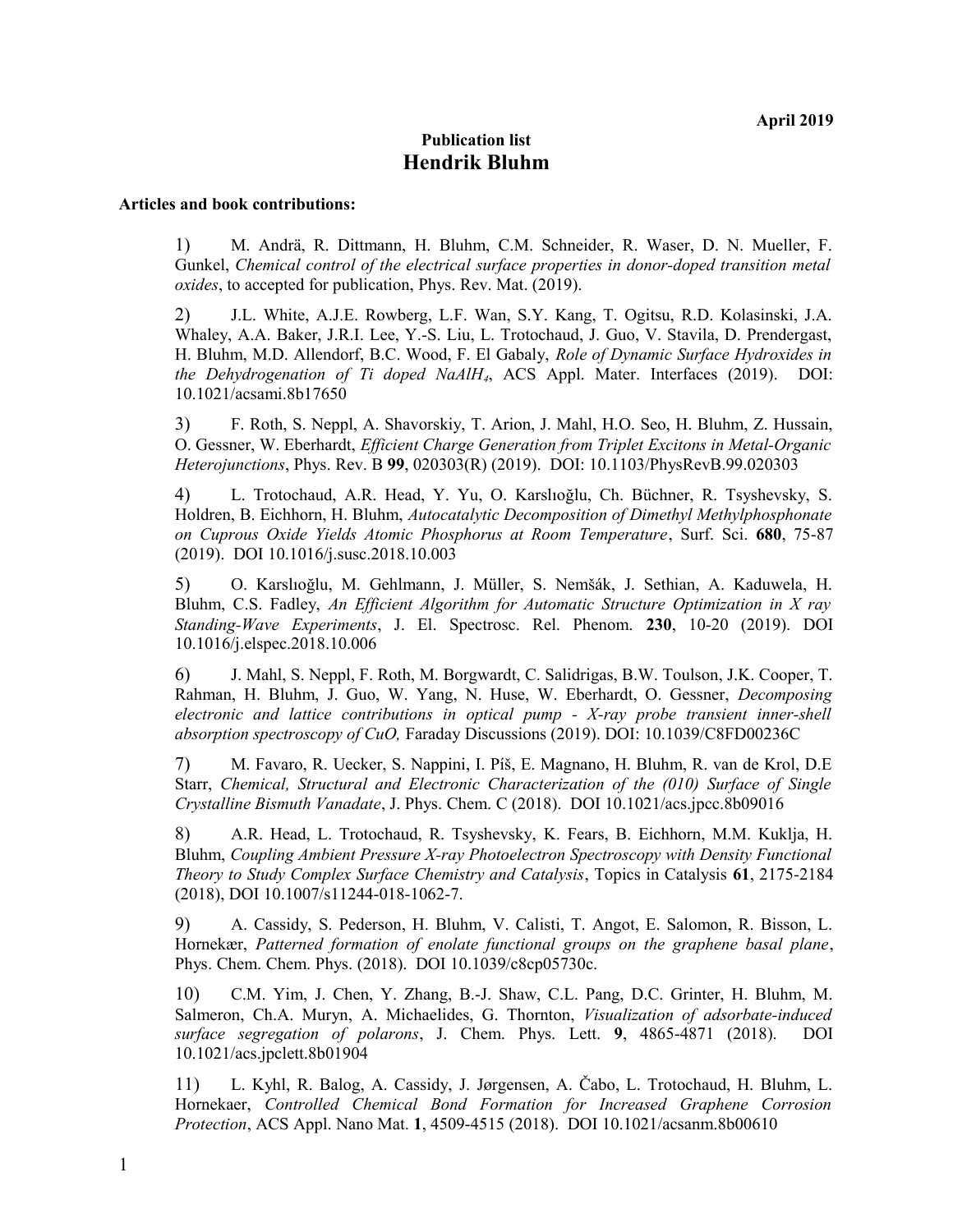## **Publication list Hendrik Bluhm**

## **Articles and book contributions:**

1) M. Andrä, R. Dittmann, H. Bluhm, C.M. Schneider, R. Waser, D. N. Mueller, F. Gunkel, *Chemical control of the electrical surface properties in donor-doped transition metal oxides*, to accepted for publication, Phys. Rev. Mat. (2019).

2) J.L. White, A.J.E. Rowberg, L.F. Wan, S.Y. Kang, T. Ogitsu, R.D. Kolasinski, J.A. Whaley, A.A. Baker, J.R.I. Lee, Y.-S. Liu, L. Trotochaud, J. Guo, V. Stavila, D. Prendergast, H. Bluhm, M.D. Allendorf, B.C. Wood, F. El Gabaly, *Role of Dynamic Surface Hydroxides in the Dehydrogenation of Ti doped NaAlH4*, ACS Appl. Mater. Interfaces (2019). DOI: 10.1021/acsami.8b17650

3) F. Roth, S. Neppl, A. Shavorskiy, T. Arion, J. Mahl, H.O. Seo, H. Bluhm, Z. Hussain, O. Gessner, W. Eberhardt, *Efficient Charge Generation from Triplet Excitons in Metal-Organic Heterojunctions*, Phys. Rev. B **99**, 020303(R) (2019). DOI: 10.1103/PhysRevB.99.020303

4) L. Trotochaud, A.R. Head, Y. Yu, O. Karslıoğlu, Ch. Büchner, R. Tsyshevsky, S. Holdren, B. Eichhorn, H. Bluhm, *Autocatalytic Decomposition of Dimethyl Methylphosphonate on Cuprous Oxide Yields Atomic Phosphorus at Room Temperature*, Surf. Sci. **680**, 75-87 (2019). DOI 10.1016/j.susc.2018.10.003

5) O. Karslıoğlu, M. Gehlmann, J. Müller, S. Nemšák, J. Sethian, A. Kaduwela, H. Bluhm, C.S. Fadley, *An Efficient Algorithm for Automatic Structure Optimization in X ray Standing-Wave Experiments*, J. El. Spectrosc. Rel. Phenom. **230**, 10-20 (2019). DOI 10.1016/j.elspec.2018.10.006

6) J. Mahl, S. Neppl, F. Roth, M. Borgwardt, C. Salidrigas, B.W. Toulson, J.K. Cooper, T. Rahman, H. Bluhm, J. Guo, W. Yang, N. Huse, W. Eberhardt, O. Gessner, *Decomposing electronic and lattice contributions in optical pump - X-ray probe transient inner-shell absorption spectroscopy of CuO,* Faraday Discussions (2019). DOI: 10.1039/C8FD00236C

7) M. Favaro, R. Uecker, S. Nappini, I. Píš, E. Magnano, H. Bluhm, R. van de Krol, D.E Starr, *Chemical, Structural and Electronic Characterization of the (010) Surface of Single Crystalline Bismuth Vanadate*, J. Phys. Chem. C (2018). DOI 10.1021/acs.jpcc.8b09016

8) A.R. Head, L. Trotochaud, R. Tsyshevsky, K. Fears, B. Eichhorn, M.M. Kuklja, H. Bluhm, *Coupling Ambient Pressure X-ray Photoelectron Spectroscopy with Density Functional Theory to Study Complex Surface Chemistry and Catalysis*, Topics in Catalysis **61**, 2175-2184 (2018), DOI 10.1007/s11244-018-1062-7.

9) A. Cassidy, S. Pederson, H. Bluhm, V. Calisti, T. Angot, E. Salomon, R. Bisson, L. Hornekær, *Patterned formation of enolate functional groups on the graphene basal plane*, Phys. Chem. Chem. Phys. (2018). DOI 10.1039/c8cp05730c.

10) C.M. Yim, J. Chen, Y. Zhang, B.-J. Shaw, C.L. Pang, D.C. Grinter, H. Bluhm, M. Salmeron, Ch.A. Muryn, A. Michaelides, G. Thornton, *Visualization of adsorbate-induced surface segregation of polarons*, J. Chem. Phys. Lett. **9**, 4865-4871 (2018). DOI 10.1021/acs.jpclett.8b01904

11) L. Kyhl, R. Balog, A. Cassidy, J. Jørgensen, A. Čabo, L. Trotochaud, H. Bluhm, L. Hornekaer, *Controlled Chemical Bond Formation for Increased Graphene Corrosion Protection*, ACS Appl. Nano Mat. **1**, 4509-4515 (2018). DOI 10.1021/acsanm.8b00610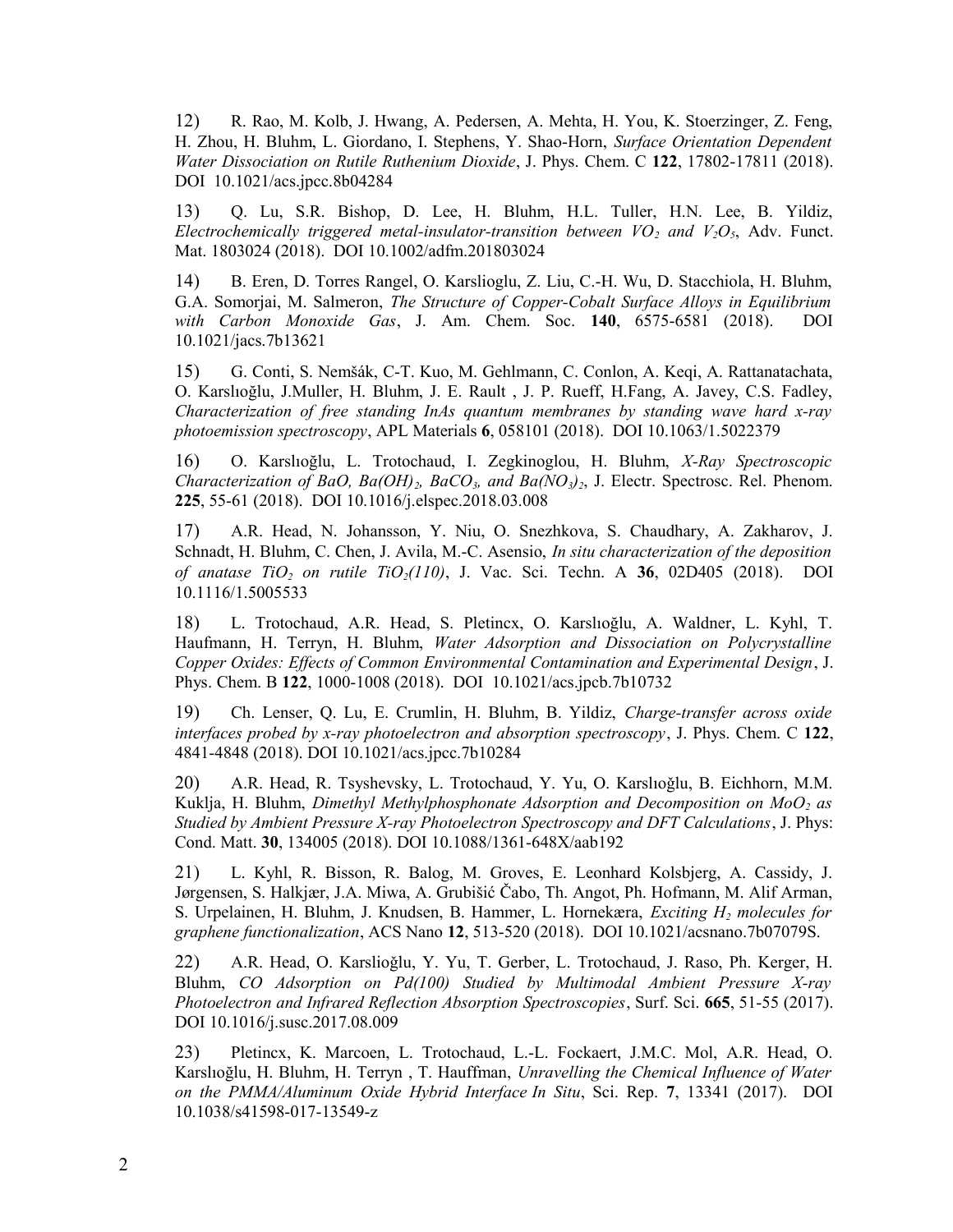12) R. Rao, M. Kolb, J. Hwang, A. Pedersen, A. Mehta, H. You, K. Stoerzinger, Z. Feng, H. Zhou, H. Bluhm, L. Giordano, I. Stephens, Y. Shao-Horn, *Surface Orientation Dependent Water Dissociation on Rutile Ruthenium Dioxide*, J. Phys. Chem. C **122**, 17802-17811 (2018). DOI 10.1021/acs.jpcc.8b04284

13) Q. Lu, S.R. Bishop, D. Lee, H. Bluhm, H.L. Tuller, H.N. Lee, B. Yildiz, *Electrochemically triggered metal-insulator-transition between*  $VO<sub>2</sub>$  *and*  $V<sub>2</sub>O<sub>5</sub>$ *, Adv. Funct.* Mat. 1803024 (2018). DOI 10.1002/adfm.201803024

14) B. Eren, D. Torres Rangel, O. Karslioglu, Z. Liu, C.-H. Wu, D. Stacchiola, H. Bluhm, G.A. Somorjai, M. Salmeron, *The Structure of Copper-Cobalt Surface Alloys in Equilibrium with Carbon Monoxide Gas*, J. Am. Chem. Soc. **140**, 6575-6581 (2018). DOI 10.1021/jacs.7b13621

15) G. Conti, S. Nemšák, C-T. Kuo, M. Gehlmann, C. Conlon, A. Keqi, A. Rattanatachata, O. Karslıoğlu, J.Muller, H. Bluhm, J. E. Rault , J. P. Rueff, H.Fang, A. Javey, C.S. Fadley, *Characterization of free standing InAs quantum membranes by standing wave hard x-ray photoemission spectroscopy*, APL Materials **6**, 058101 (2018). DOI 10.1063/1.5022379

16) O. Karslıoğlu, L. Trotochaud, I. Zegkinoglou, H. Bluhm, *X-Ray Spectroscopic Characterization of BaO, Ba(OH)2, BaCO3, and Ba(NO3)2*, J. Electr. Spectrosc. Rel. Phenom. **225**, 55-61 (2018). DOI 10.1016/j.elspec.2018.03.008

17) A.R. Head, N. Johansson, Y. Niu, O. Snezhkova, S. Chaudhary, A. Zakharov, J. Schnadt, H. Bluhm, C. Chen, J. Avila, M.-C. Asensio, *In situ characterization of the deposition of anatase TiO2 on rutile TiO2(110)*, J. Vac. Sci. Techn. A **36**, 02D405 (2018). DOI 10.1116/1.5005533

18) L. Trotochaud, A.R. Head, S. Pletincx, O. Karslıoğlu, A. Waldner, L. Kyhl, T. Haufmann, H. Terryn, H. Bluhm, *Water Adsorption and Dissociation on Polycrystalline Copper Oxides: Effects of Common Environmental Contamination and Experimental Design*, J. Phys. Chem. B **122**, 1000-1008 (2018). DOI 10.1021/acs.jpcb.7b10732

19) Ch. Lenser, Q. Lu, E. Crumlin, H. Bluhm, B. Yildiz, *Charge-transfer across oxide interfaces probed by x-ray photoelectron and absorption spectroscopy*, J. Phys. Chem. C **122**, 4841-4848 (2018). DOI 10.1021/acs.jpcc.7b10284

20) A.R. Head, R. Tsyshevsky, L. Trotochaud, Y. Yu, O. Karslıoǧlu, B. Eichhorn, M.M. Kuklja, H. Bluhm, *Dimethyl Methylphosphonate Adsorption and Decomposition on MoO2 as Studied by Ambient Pressure X-ray Photoelectron Spectroscopy and DFT Calculations*, J. Phys: Cond. Matt. **30**, 134005 (2018). DOI 10.1088/1361-648X/aab192

21) L. Kyhl, R. Bisson, R. Balog, M. Groves, E. Leonhard Kolsbjerg, A. Cassidy, J. Jørgensen, S. Halkjær, J.A. Miwa, A. Grubišić Čabo, Th. Angot, Ph. Hofmann, M. Alif Arman, S. Urpelainen, H. Bluhm, J. Knudsen, B. Hammer, L. Hornekæra, *Exciting H2 molecules for graphene functionalization*, ACS Nano **12**, 513-520 (2018). DOI 10.1021/acsnano.7b07079S.

22) A.R. Head, O. Karslioǧlu, Y. Yu, T. Gerber, L. Trotochaud, J. Raso, Ph. Kerger, H. Bluhm, *CO Adsorption on Pd(100) Studied by Multimodal Ambient Pressure X-ray Photoelectron and Infrared Reflection Absorption Spectroscopies*, Surf. Sci. **665**, 51-55 (2017). DOI 10.1016/j.susc.2017.08.009

23) Pletincx, K. Marcoen, L. Trotochaud, L.-L. Fockaert, J.M.C. Mol, A.R. Head, O. Karslıoğlu, H. Bluhm, H. Terryn , T. Hauffman, *Unravelling the Chemical Influence of Water on the PMMA/Aluminum Oxide Hybrid Interface In Situ*, Sci. Rep. **7**, 13341 (2017). DOI 10.1038/s41598-017-13549-z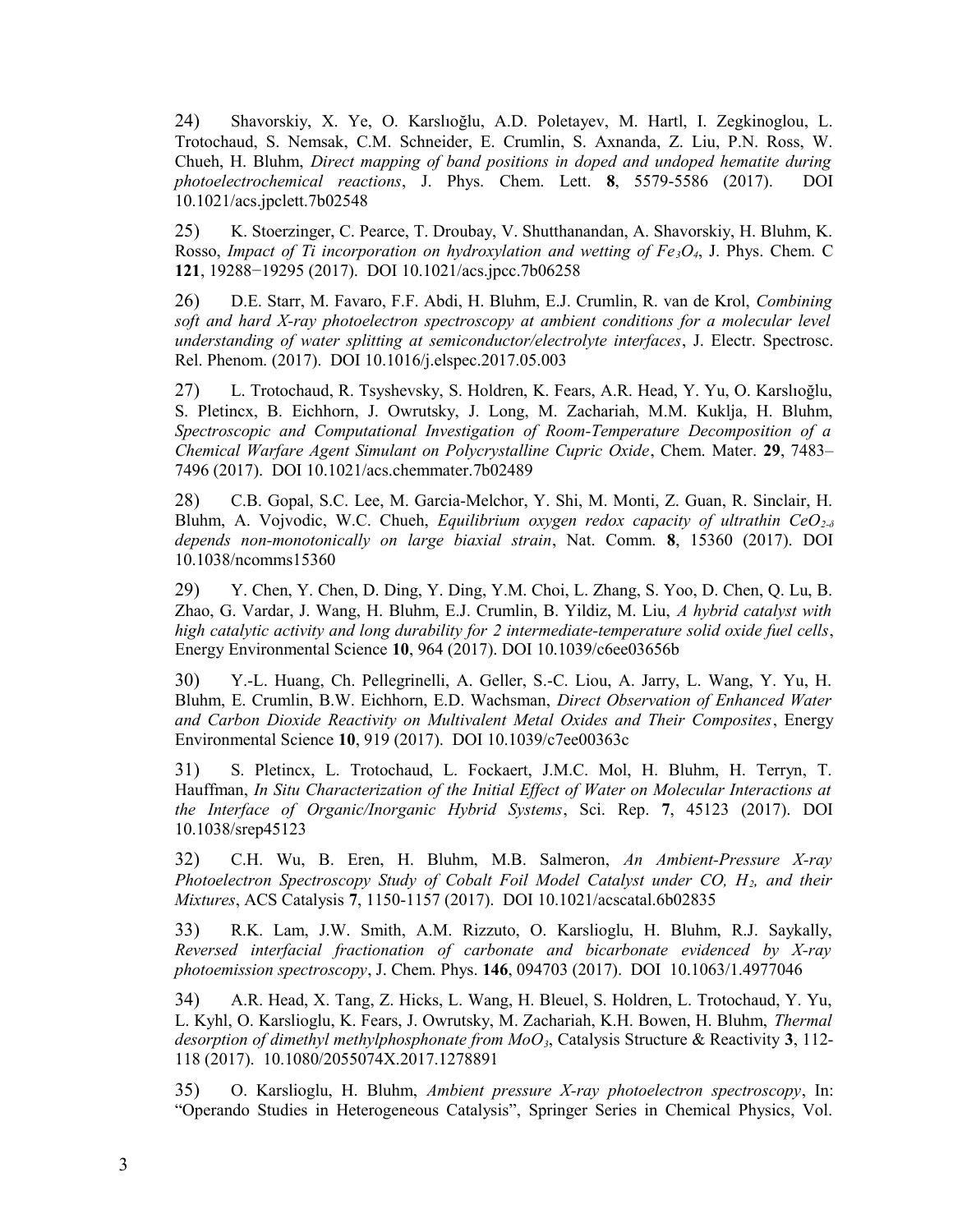24) Shavorskiy, X. Ye, O. Karslıoğlu, A.D. Poletayev, M. Hartl, I. Zegkinoglou, L. Trotochaud, S. Nemsak, C.M. Schneider, E. Crumlin, S. Axnanda, Z. Liu, P.N. Ross, W. Chueh, H. Bluhm, *Direct mapping of band positions in doped and undoped hematite during photoelectrochemical reactions*, J. Phys. Chem. Lett. **8**, 5579-5586 (2017). DOI 10.1021/acs.jpclett.7b02548

25) K. Stoerzinger, C. Pearce, T. Droubay, V. Shutthanandan, A. Shavorskiy, H. Bluhm, K. Rosso, *Impact of Ti incorporation on hydroxylation and wetting of Fe3O4*, J. Phys. Chem. C **121**, 19288−19295 (2017). DOI 10.1021/acs.jpcc.7b06258

26) D.E. Starr, M. Favaro, F.F. Abdi, H. Bluhm, E.J. Crumlin, R. van de Krol, *Combining soft and hard X-ray photoelectron spectroscopy at ambient conditions for a molecular level understanding of water splitting at semiconductor/electrolyte interfaces*, J. Electr. Spectrosc. Rel. Phenom. (2017). DOI 10.1016/j.elspec.2017.05.003

27) L. Trotochaud, R. Tsyshevsky, S. Holdren, K. Fears, A.R. Head, Y. Yu, O. Karslıoğlu, S. Pletincx, B. Eichhorn, J. Owrutsky, J. Long, M. Zachariah, M.M. Kuklja, H. Bluhm, *Spectroscopic and Computational Investigation of Room-Temperature Decomposition of a Chemical Warfare Agent Simulant on Polycrystalline Cupric Oxide*, Chem. Mater. **29**, 7483– 7496 (2017). DOI 10.1021/acs.chemmater.7b02489

28) C.B. Gopal, S.C. Lee, M. Garcia-Melchor, Y. Shi, M. Monti, Z. Guan, R. Sinclair, H. Bluhm, A. Vojvodic, W.C. Chueh, *Equilibrium oxygen redox capacity of ultrathin CeO2-δ depends non-monotonically on large biaxial strain*, Nat. Comm. **8**, 15360 (2017). DOI 10.1038/ncomms15360

29) Y. Chen, Y. Chen, D. Ding, Y. Ding, Y.M. Choi, L. Zhang, S. Yoo, D. Chen, Q. Lu, B. Zhao, G. Vardar, J. Wang, H. Bluhm, E.J. Crumlin, B. Yildiz, M. Liu, *A hybrid catalyst with high catalytic activity and long durability for 2 intermediate-temperature solid oxide fuel cells*, Energy Environmental Science **10**, 964 (2017). DOI 10.1039/c6ee03656b

30) Y.-L. Huang, Ch. Pellegrinelli, A. Geller, S.-C. Liou, A. Jarry, L. Wang, Y. Yu, H. Bluhm, E. Crumlin, B.W. Eichhorn, E.D. Wachsman, *Direct Observation of Enhanced Water and Carbon Dioxide Reactivity on Multivalent Metal Oxides and Their Composites*, Energy Environmental Science **10**, 919 (2017). DOI 10.1039/c7ee00363c

31) S. Pletincx, L. Trotochaud, L. Fockaert, J.M.C. Mol, H. Bluhm, H. Terryn, T. Hauffman, *In Situ Characterization of the Initial Effect of Water on Molecular Interactions at the Interface of Organic/Inorganic Hybrid Systems*, Sci. Rep. **7**, 45123 (2017). DOI 10.1038/srep45123

32) C.H. Wu, B. Eren, H. Bluhm, M.B. Salmeron, *An Ambient-Pressure X-ray Photoelectron Spectroscopy Study of Cobalt Foil Model Catalyst under CO, H2, and their Mixtures*, ACS Catalysis **7**, 1150-1157 (2017). DOI 10.1021/acscatal.6b02835

33) R.K. Lam, J.W. Smith, A.M. Rizzuto, O. Karslioglu, H. Bluhm, R.J. Saykally, *Reversed interfacial fractionation of carbonate and bicarbonate evidenced by X-ray photoemission spectroscopy*, J. Chem. Phys. **146**, 094703 (2017). DOI 10.1063/1.4977046

34) A.R. Head, X. Tang, Z. Hicks, L. Wang, H. Bleuel, S. Holdren, L. Trotochaud, Y. Yu, L. Kyhl, O. Karslioglu, K. Fears, J. Owrutsky, M. Zachariah, K.H. Bowen, H. Bluhm, *Thermal desorption of dimethyl methylphosphonate from MoO3*, Catalysis Structure & Reactivity **3**, 112- 118 (2017). 10.1080/2055074X.2017.1278891

35) O. Karslioglu, H. Bluhm, *Ambient pressure X-ray photoelectron spectroscopy*, In: "Operando Studies in Heterogeneous Catalysis", Springer Series in Chemical Physics, Vol.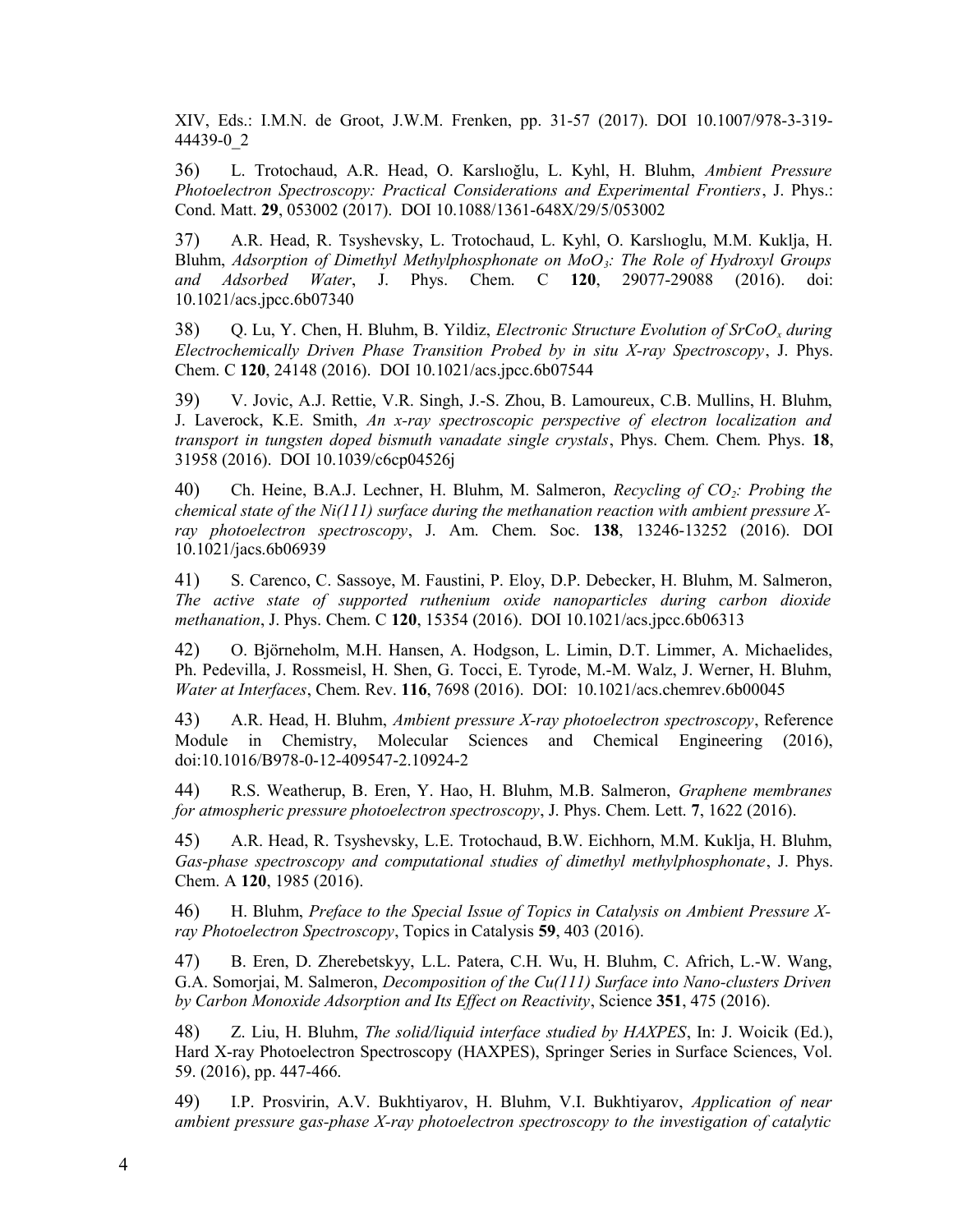XIV, Eds.: I.M.N. de Groot, J.W.M. Frenken, pp. 31-57 (2017). DOI 10.1007/978-3-319- 44439-0\_2

36) L. Trotochaud, A.R. Head, O. Karslıoğlu, L. Kyhl, H. Bluhm, *Ambient Pressure Photoelectron Spectroscopy: Practical Considerations and Experimental Frontiers*, J. Phys.: Cond. Matt. **29**, 053002 (2017). DOI 10.1088/1361-648X/29/5/053002

37) A.R. Head, R. Tsyshevsky, L. Trotochaud, L. Kyhl, O. Karslıoglu, M.M. Kuklja, H. Bluhm, *Adsorption of Dimethyl Methylphosphonate on MoO3: The Role of Hydroxyl Groups and Adsorbed Water*, J. Phys. Chem. C **120**, 29077-29088 (2016). doi: 10.1021/acs.jpcc.6b07340

38) Q. Lu, Y. Chen, H. Bluhm, B. Yildiz, *Electronic Structure Evolution of SrCoOx during Electrochemically Driven Phase Transition Probed by in situ X-ray Spectroscopy*, J. Phys. Chem. C **120**, 24148 (2016). DOI 10.1021/acs.jpcc.6b07544

39) V. Jovic, A.J. Rettie, V.R. Singh, J.-S. Zhou, B. Lamoureux, C.B. Mullins, H. Bluhm, J. Laverock, K.E. Smith, *An x-ray spectroscopic perspective of electron localization and transport in tungsten doped bismuth vanadate single crystals*, Phys. Chem. Chem. Phys. **18**, 31958 (2016). DOI 10.1039/c6cp04526j

40) Ch. Heine, B.A.J. Lechner, H. Bluhm, M. Salmeron, *Recycling of CO2: Probing the chemical state of the Ni(111) surface during the methanation reaction with ambient pressure Xray photoelectron spectroscopy*, J. Am. Chem. Soc. **138**, 13246-13252 (2016). DOI 10.1021/jacs.6b06939

41) S. Carenco, C. Sassoye, M. Faustini, P. Eloy, D.P. Debecker, H. Bluhm, M. Salmeron, *The active state of supported ruthenium oxide nanoparticles during carbon dioxide methanation*, J. Phys. Chem. C **120**, 15354 (2016). DOI 10.1021/acs.jpcc.6b06313

42) O. Björneholm, M.H. Hansen, A. Hodgson, L. Limin, D.T. Limmer, A. Michaelides, Ph. Pedevilla, J. Rossmeisl, H. Shen, G. Tocci, E. Tyrode, M.-M. Walz, J. Werner, H. Bluhm, *Water at Interfaces*, Chem. Rev. **116**, 7698 (2016). DOI: 10.1021/acs.chemrev.6b00045

43) A.R. Head, H. Bluhm, *Ambient pressure X-ray photoelectron spectroscopy*, Reference Module in Chemistry, Molecular Sciences and Chemical Engineering (2016), doi:10.1016/B978-0-12-409547-2.10924-2

44) R.S. Weatherup, B. Eren, Y. Hao, H. Bluhm, M.B. Salmeron, *Graphene membranes for atmospheric pressure photoelectron spectroscopy*, J. Phys. Chem. Lett. **7**, 1622 (2016).

45) A.R. Head, R. Tsyshevsky, L.E. Trotochaud, B.W. Eichhorn, M.M. Kuklja, H. Bluhm, *Gas-phase spectroscopy and computational studies of dimethyl methylphosphonate*, J. Phys. Chem. A **120**, 1985 (2016).

46) H. Bluhm, *Preface to the Special Issue of Topics in Catalysis on Ambient Pressure Xray Photoelectron Spectroscopy*, Topics in Catalysis **59**, 403 (2016).

47) B. Eren, D. Zherebetskyy, L.L. Patera, C.H. Wu, H. Bluhm, C. Africh, L.-W. Wang, G.A. Somorjai, M. Salmeron, *Decomposition of the Cu(111) Surface into Nano-clusters Driven by Carbon Monoxide Adsorption and Its Effect on Reactivity*, Science **351**, 475 (2016).

48) Z. Liu, H. Bluhm, *The solid/liquid interface studied by HAXPES*, In: J. Woicik (Ed.), Hard X-ray Photoelectron Spectroscopy (HAXPES), Springer Series in Surface Sciences, Vol. 59. (2016), pp. 447-466.

49) I.P. Prosvirin, A.V. Bukhtiyarov, H. Bluhm, V.I. Bukhtiyarov, *Application of near ambient pressure gas-phase X-ray photoelectron spectroscopy to the investigation of catalytic*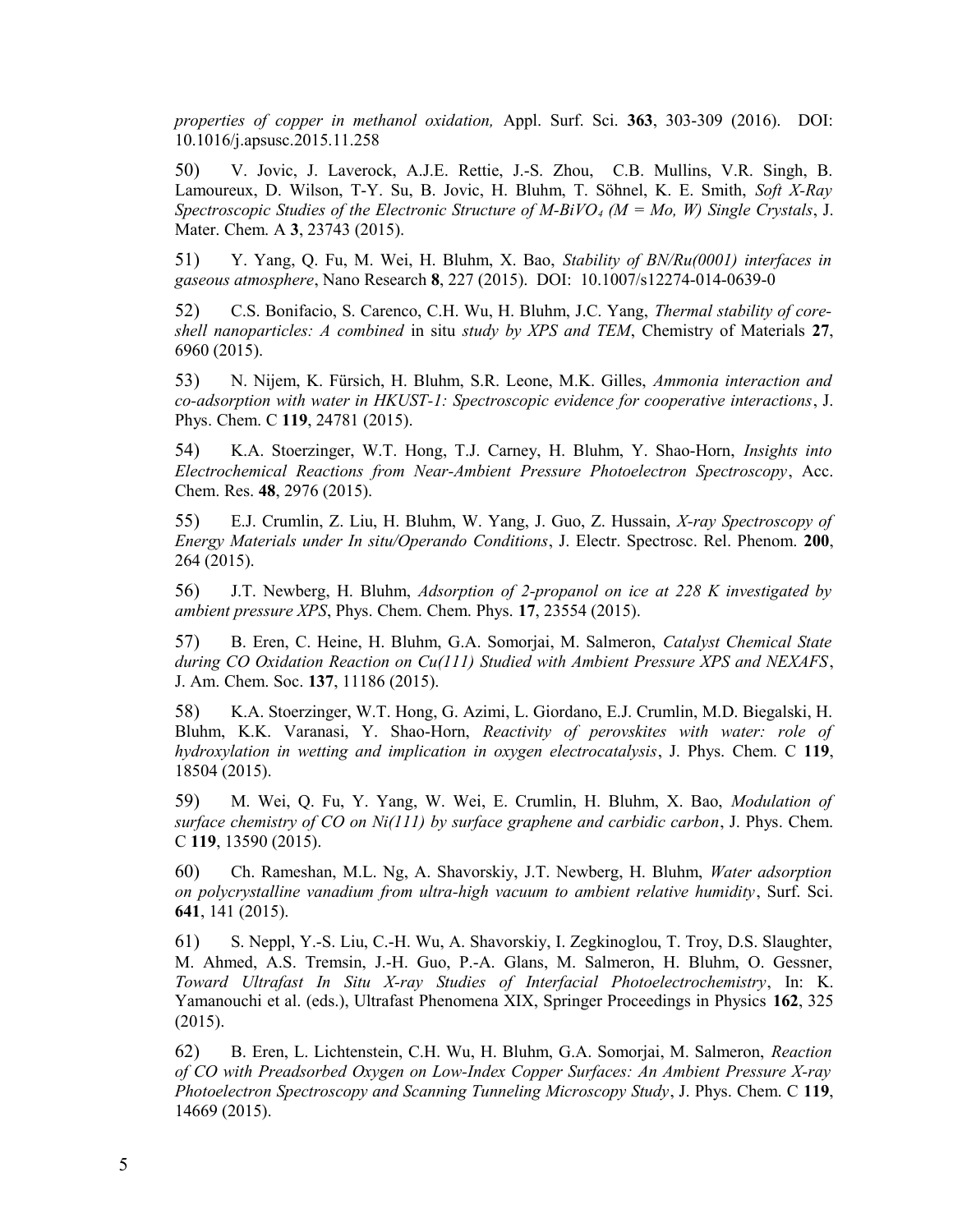*properties of copper in methanol oxidation,* Appl. Surf. Sci. **363**, 303-309 (2016). DOI: 10.1016/j.apsusc.2015.11.258

50) V. Jovic, J. Laverock, A.J.E. Rettie, J.-S. Zhou, C.B. Mullins, V.R. Singh, B. Lamoureux, D. Wilson, T-Y. Su, B. Jovic, H. Bluhm, T. Söhnel, K. E. Smith, *Soft X-Ray Spectroscopic Studies of the Electronic Structure of M-BiVO4 (M = Mo, W) Single Crystals*, J. Mater. Chem. A **3**, 23743 (2015).

51) Y. Yang, Q. Fu, M. Wei, H. Bluhm, X. Bao, *Stability of BN/Ru(0001) interfaces in gaseous atmosphere*, Nano Research **8**, 227 (2015). DOI: 10.1007/s12274-014-0639-0

52) C.S. Bonifacio, S. Carenco, C.H. Wu, H. Bluhm, J.C. Yang, *Thermal stability of coreshell nanoparticles: A combined* in situ *study by XPS and TEM*, Chemistry of Materials **27**, 6960 (2015).

53) N. Nijem, K. Fürsich, H. Bluhm, S.R. Leone, M.K. Gilles, *Ammonia interaction and co-adsorption with water in HKUST-1: Spectroscopic evidence for cooperative interactions*, J. Phys. Chem. C **119**, 24781 (2015).

54) K.A. Stoerzinger, W.T. Hong, T.J. Carney, H. Bluhm, Y. Shao-Horn, *Insights into Electrochemical Reactions from Near-Ambient Pressure Photoelectron Spectroscopy*, Acc. Chem. Res. **48**, 2976 (2015).

55) E.J. Crumlin, Z. Liu, H. Bluhm, W. Yang, J. Guo, Z. Hussain, *X-ray Spectroscopy of Energy Materials under In situ/Operando Conditions*, J. Electr. Spectrosc. Rel. Phenom. **200**, 264 (2015).

56) J.T. Newberg, H. Bluhm, *Adsorption of 2-propanol on ice at 228 K investigated by ambient pressure XPS*, Phys. Chem. Chem. Phys. **17**, 23554 (2015).

57) B. Eren, C. Heine, H. Bluhm, G.A. Somorjai, M. Salmeron, *Catalyst Chemical State during CO Oxidation Reaction on Cu(111) Studied with Ambient Pressure XPS and NEXAFS*, J. Am. Chem. Soc. **137**, 11186 (2015).

58) K.A. Stoerzinger, W.T. Hong, G. Azimi, L. Giordano, E.J. Crumlin, M.D. Biegalski, H. Bluhm, K.K. Varanasi, Y. Shao-Horn, *Reactivity of perovskites with water: role of hydroxylation in wetting and implication in oxygen electrocatalysis*, J. Phys. Chem. C **119**, 18504 (2015).

59) M. Wei, Q. Fu, Y. Yang, W. Wei, E. Crumlin, H. Bluhm, X. Bao, *Modulation of surface chemistry of CO on Ni(111) by surface graphene and carbidic carbon*, J. Phys. Chem. C **119**, 13590 (2015).

60) Ch. Rameshan, M.L. Ng, A. Shavorskiy, J.T. Newberg, H. Bluhm, *Water adsorption on polycrystalline vanadium from ultra-high vacuum to ambient relative humidity*, Surf. Sci. **641**, 141 (2015).

61) S. Neppl, Y.-S. Liu, C.-H. Wu, A. Shavorskiy, I. Zegkinoglou, T. Troy, D.S. Slaughter, M. Ahmed, A.S. Tremsin, J.-H. Guo, P.-A. Glans, M. Salmeron, H. Bluhm, O. Gessner, *Toward Ultrafast In Situ X-ray Studies of Interfacial Photoelectrochemistry*, In: K. Yamanouchi et al. (eds.), Ultrafast Phenomena XIX, Springer Proceedings in Physics **162**, 325 (2015).

62) B. Eren, L. Lichtenstein, C.H. Wu, H. Bluhm, G.A. Somorjai, M. Salmeron, *Reaction of CO with Preadsorbed Oxygen on Low-Index Copper Surfaces: An Ambient Pressure X-ray Photoelectron Spectroscopy and Scanning Tunneling Microscopy Study*, J. Phys. Chem. C **119**, 14669 (2015).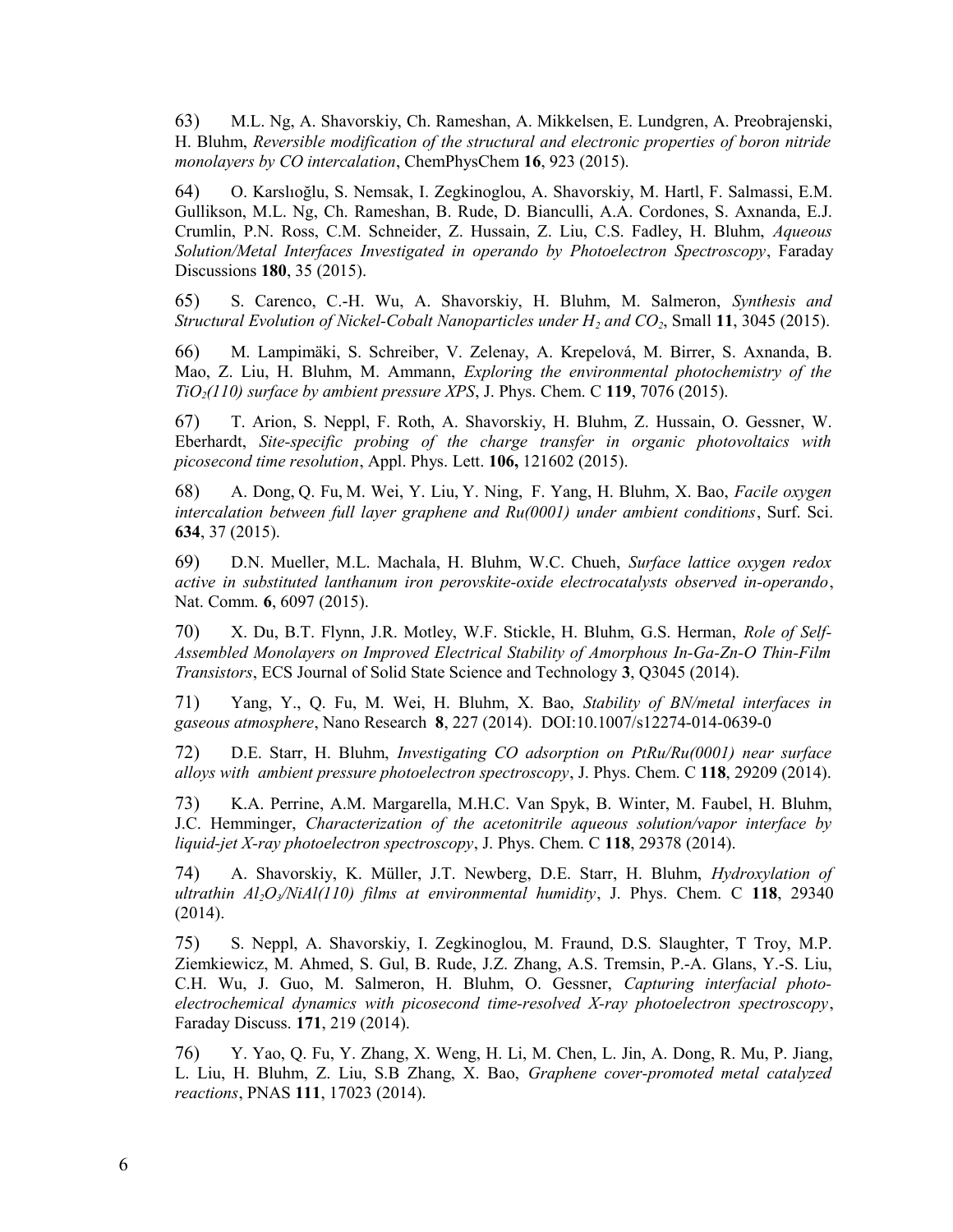63) M.L. Ng, A. Shavorskiy, Ch. Rameshan, A. Mikkelsen, E. Lundgren, A. Preobrajenski, H. Bluhm, *Reversible modification of the structural and electronic properties of boron nitride monolayers by CO intercalation*, ChemPhysChem **16**, 923 (2015).

64) O. Karslıoğlu, S. Nemsak, I. Zegkinoglou, A. Shavorskiy, M. Hartl, F. Salmassi, E.M. Gullikson, M.L. Ng, Ch. Rameshan, B. Rude, D. Bianculli, A.A. Cordones, S. Axnanda, E.J. Crumlin, P.N. Ross, C.M. Schneider, Z. Hussain, Z. Liu, C.S. Fadley, H. Bluhm, *Aqueous Solution/Metal Interfaces Investigated in operando by Photoelectron Spectroscopy*, Faraday Discussions **180**, 35 (2015).

65) S. Carenco, C.-H. Wu, A. Shavorskiy, H. Bluhm, M. Salmeron, *Synthesis and Structural Evolution of Nickel-Cobalt Nanoparticles under H2 and CO2*, Small **11**, 3045 (2015).

66) M. Lampimäki, S. Schreiber, V. Zelenay, A. Krepelová, M. Birrer, S. Axnanda, B. Mao, Z. Liu, H. Bluhm, M. Ammann, *Exploring the environmental photochemistry of the TiO2(110) surface by ambient pressure XPS*, J. Phys. Chem. C **119**, 7076 (2015).

67) T. Arion, S. Neppl, F. Roth, A. Shavorskiy, H. Bluhm, Z. Hussain, O. Gessner, W. Eberhardt, *Site-specific probing of the charge transfer in organic photovoltaics with picosecond time resolution*, Appl. Phys. Lett. **106,** 121602 (2015).

68) A. Dong, Q. Fu, M. Wei, Y. Liu, Y. Ning, F. Yang, H. Bluhm, X. Bao, *Facile oxygen intercalation between full layer graphene and Ru(0001) under ambient conditions*, Surf. Sci. **634**, 37 (2015).

69) D.N. Mueller, M.L. Machala, H. Bluhm, W.C. Chueh, *Surface lattice oxygen redox active in substituted lanthanum iron perovskite-oxide electrocatalysts observed in-operando*, Nat. Comm. **6**, 6097 (2015).

70) X. Du, B.T. Flynn, J.R. Motley, W.F. Stickle, H. Bluhm, G.S. Herman, *Role of Self-Assembled Monolayers on Improved Electrical Stability of Amorphous In-Ga-Zn-O Thin-Film Transistors*, ECS Journal of Solid State Science and Technology **3**, Q3045 (2014).

71) Yang, Y., Q. Fu, M. Wei, H. Bluhm, X. Bao, *Stability of BN/metal interfaces in gaseous atmosphere*, Nano Research **8**, 227 (2014). DOI:10.1007/s12274-014-0639-0

72) D.E. Starr, H. Bluhm, *Investigating CO adsorption on PtRu/Ru(0001) near surface alloys with ambient pressure photoelectron spectroscopy*, J. Phys. Chem. C **118**, 29209 (2014).

73) K.A. Perrine, A.M. Margarella, M.H.C. Van Spyk, B. Winter, M. Faubel, H. Bluhm, J.C. Hemminger, *Characterization of the acetonitrile aqueous solution/vapor interface by liquid-jet X-ray photoelectron spectroscopy*, J. Phys. Chem. C **118**, 29378 (2014).

74) A. Shavorskiy, K. Müller, J.T. Newberg, D.E. Starr, H. Bluhm, *Hydroxylation of ultrathin Al2O3/NiAl(110) films at environmental humidity*, J. Phys. Chem. C **118**, 29340 (2014).

75) S. Neppl, A. Shavorskiy, I. Zegkinoglou, M. Fraund, D.S. Slaughter, T Troy, M.P. Ziemkiewicz, M. Ahmed, S. Gul, B. Rude, J.Z. Zhang, A.S. Tremsin, P.-A. Glans, Y.-S. Liu, C.H. Wu, J. Guo, M. Salmeron, H. Bluhm, O. Gessner, *Capturing interfacial photoelectrochemical dynamics with picosecond time-resolved X-ray photoelectron spectroscopy*, Faraday Discuss. **171**, 219 (2014).

76) Y. Yao, Q. Fu, Y. Zhang, X. Weng, H. Li, M. Chen, L. Jin, A. Dong, R. Mu, P. Jiang, L. Liu, H. Bluhm, Z. Liu, S.B Zhang, X. Bao, *Graphene cover-promoted metal catalyzed reactions*, PNAS **111**, 17023 (2014).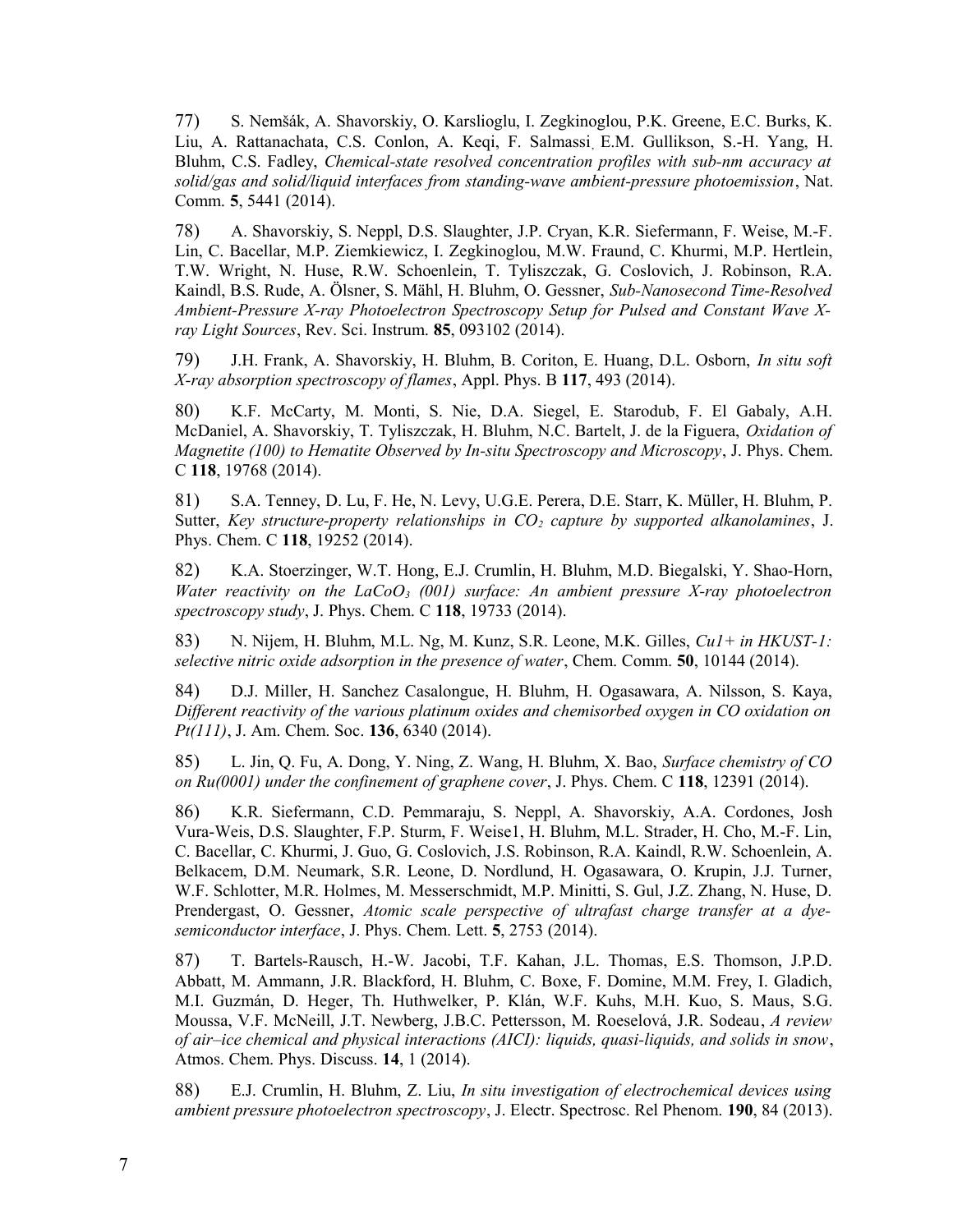77) S. Nemšák, A. Shavorskiy, O. Karslioglu, I. Zegkinoglou, P.K. Greene, E.C. Burks, K. Liu, A. Rattanachata, C.S. Conlon, A. Keqi, F. Salmassi, E.M. Gullikson, S.-H. Yang, H. Bluhm, C.S. Fadley, *Chemical-state resolved concentration profiles with sub-nm accuracy at solid/gas and solid/liquid interfaces from standing-wave ambient-pressure photoemission*, Nat. Comm. **5**, 5441 (2014).

78) A. Shavorskiy, S. Neppl, D.S. Slaughter, J.P. Cryan, K.R. Siefermann, F. Weise, M.-F. Lin, C. Bacellar, M.P. Ziemkiewicz, I. Zegkinoglou, M.W. Fraund, C. Khurmi, M.P. Hertlein, T.W. Wright, N. Huse, R.W. Schoenlein, T. Tyliszczak, G. Coslovich, J. Robinson, R.A. Kaindl, B.S. Rude, A. Ölsner, S. Mähl, H. Bluhm, O. Gessner, *Sub-Nanosecond Time-Resolved Ambient-Pressure X-ray Photoelectron Spectroscopy Setup for Pulsed and Constant Wave Xray Light Sources*, Rev. Sci. Instrum. **85**, 093102 (2014).

79) J.H. Frank, A. Shavorskiy, H. Bluhm, B. Coriton, E. Huang, D.L. Osborn, *In situ soft X-ray absorption spectroscopy of flames*, Appl. Phys. B **117**, 493 (2014).

80) K.F. McCarty, M. Monti, S. Nie, D.A. Siegel, E. Starodub, F. El Gabaly, A.H. McDaniel, A. Shavorskiy, T. Tyliszczak, H. Bluhm, N.C. Bartelt, J. de la Figuera, *Oxidation of Magnetite (100) to Hematite Observed by In-situ Spectroscopy and Microscopy*, J. Phys. Chem. C **118**, 19768 (2014).

81) S.A. Tenney, D. Lu, F. He, N. Levy, U.G.E. Perera, D.E. Starr, K. Müller, H. Bluhm, P. Sutter, *Key structure-property relationships in CO2 capture by supported alkanolamines*, J. Phys. Chem. C **118**, 19252 (2014).

82) K.A. Stoerzinger, W.T. Hong, E.J. Crumlin, H. Bluhm, M.D. Biegalski, Y. Shao-Horn, *Water reactivity on the LaCoO3 (001) surface: An ambient pressure X-ray photoelectron spectroscopy study*, J. Phys. Chem. C **118**, 19733 (2014).

83) N. Nijem, H. Bluhm, M.L. Ng, M. Kunz, S.R. Leone, M.K. Gilles, *Cu1+ in HKUST-1: selective nitric oxide adsorption in the presence of water*, Chem. Comm. **50**, 10144 (2014).

84) D.J. Miller, H. Sanchez Casalongue, H. Bluhm, H. Ogasawara, A. Nilsson, S. Kaya, *Different reactivity of the various platinum oxides and chemisorbed oxygen in CO oxidation on Pt(111)*, J. Am. Chem. Soc. **136**, 6340 (2014).

85) L. Jin, Q. Fu, A. Dong, Y. Ning, Z. Wang, H. Bluhm, X. Bao, *Surface chemistry of CO on Ru(0001) under the confinement of graphene cover*, J. Phys. Chem. C **118**, 12391 (2014).

86) K.R. Siefermann, C.D. Pemmaraju, S. Neppl, A. Shavorskiy, A.A. Cordones, Josh Vura-Weis, D.S. Slaughter, F.P. Sturm, F. Weise1, H. Bluhm, M.L. Strader, H. Cho, M.-F. Lin, C. Bacellar, C. Khurmi, J. Guo, G. Coslovich, J.S. Robinson, R.A. Kaindl, R.W. Schoenlein, A. Belkacem, D.M. Neumark, S.R. Leone, D. Nordlund, H. Ogasawara, O. Krupin, J.J. Turner, W.F. Schlotter, M.R. Holmes, M. Messerschmidt, M.P. Minitti, S. Gul, J.Z. Zhang, N. Huse, D. Prendergast, O. Gessner, *Atomic scale perspective of ultrafast charge transfer at a dyesemiconductor interface*, J. Phys. Chem. Lett. **5**, 2753 (2014).

87) T. Bartels-Rausch, H.-W. Jacobi, T.F. Kahan, J.L. Thomas, E.S. Thomson, J.P.D. Abbatt, M. Ammann, J.R. Blackford, H. Bluhm, C. Boxe, F. Domine, M.M. Frey, I. Gladich, M.I. Guzmán, D. Heger, Th. Huthwelker, P. Klán, W.F. Kuhs, M.H. Kuo, S. Maus, S.G. Moussa, V.F. McNeill, J.T. Newberg, J.B.C. Pettersson, M. Roeselová, J.R. Sodeau, *A review of air–ice chemical and physical interactions (AICI): liquids, quasi-liquids, and solids in snow*, Atmos. Chem. Phys. Discuss. **14**, 1 (2014).

88) E.J. Crumlin, H. Bluhm, Z. Liu, *In situ investigation of electrochemical devices using ambient pressure photoelectron spectroscopy*, J. Electr. Spectrosc. Rel Phenom. **190**, 84 (2013).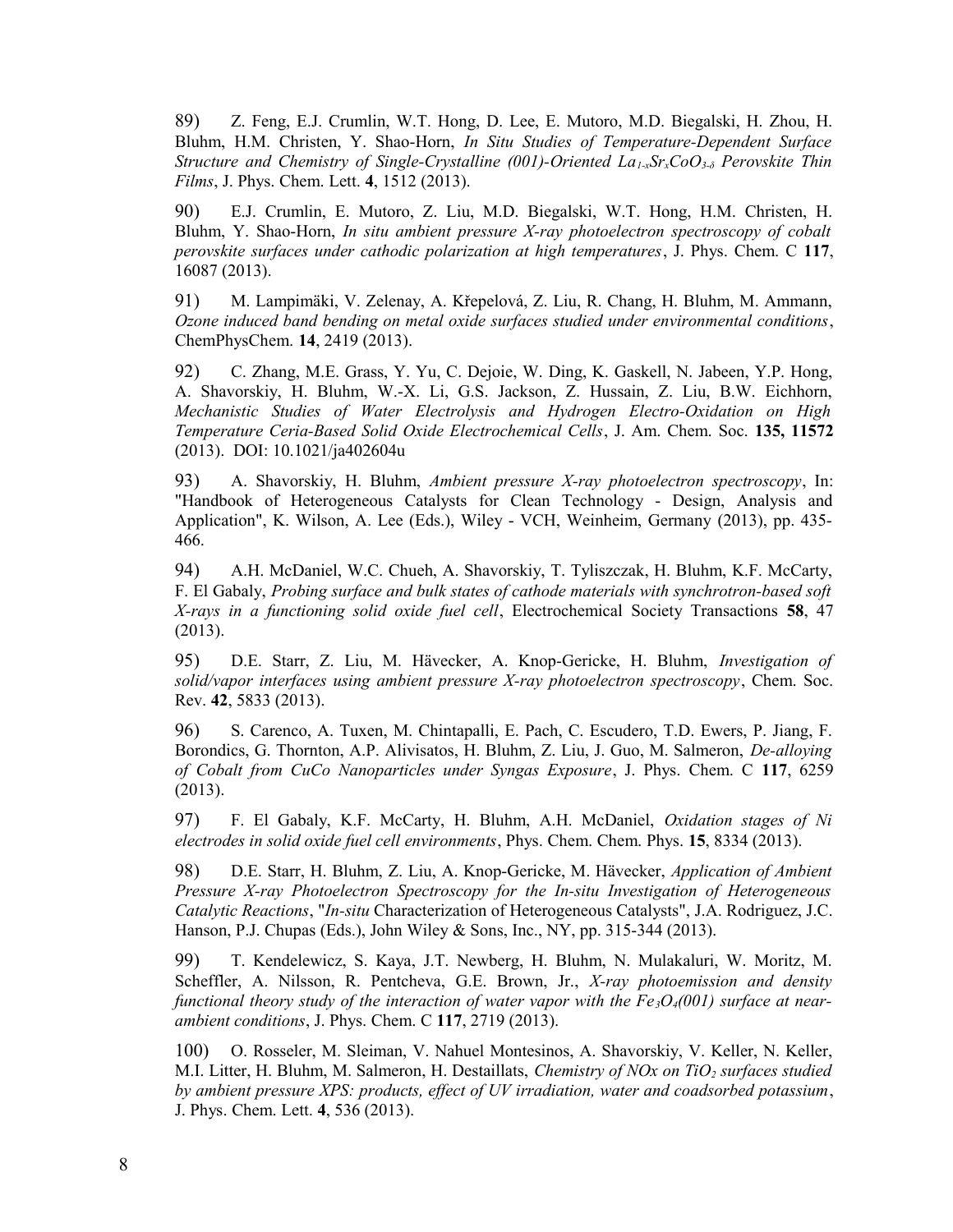89) Z. Feng, E.J. Crumlin, W.T. Hong, D. Lee, E. Mutoro, M.D. Biegalski, H. Zhou, H. Bluhm, H.M. Christen, Y. Shao-Horn, *In Situ Studies of Temperature-Dependent Surface Structure and Chemistry of Single-Crystalline (001)-Oriented La1-xSrxCoO3-δ Perovskite Thin Films*, J. Phys. Chem. Lett. **4**, 1512 (2013).

90) E.J. Crumlin, E. Mutoro, Z. Liu, M.D. Biegalski, W.T. Hong, H.M. Christen, H. Bluhm, Y. Shao-Horn, *In situ ambient pressure X-ray photoelectron spectroscopy of cobalt perovskite surfaces under cathodic polarization at high temperatures*, J. Phys. Chem. C **117**, 16087 (2013).

91) M. Lampimäki, V. Zelenay, A. Křepelová, Z. Liu, R. Chang, H. Bluhm, M. Ammann, *Ozone induced band bending on metal oxide surfaces studied under environmental conditions*, ChemPhysChem. **14**, 2419 (2013).

92) C. Zhang, M.E. Grass, Y. Yu, C. Dejoie, W. Ding, K. Gaskell, N. Jabeen, Y.P. Hong, A. Shavorskiy, H. Bluhm, W.-X. Li, G.S. Jackson, Z. Hussain, Z. Liu, B.W. Eichhorn, *Mechanistic Studies of Water Electrolysis and Hydrogen Electro-Oxidation on High Temperature Ceria-Based Solid Oxide Electrochemical Cells*, J. Am. Chem. Soc. **135, 11572** (2013). DOI: 10.1021/ja402604u

93) A. Shavorskiy, H. Bluhm, *Ambient pressure X-ray photoelectron spectroscopy*, In: "Handbook of Heterogeneous Catalysts for Clean Technology - Design, Analysis and Application", K. Wilson, A. Lee (Eds.), Wiley - VCH, Weinheim, Germany (2013), pp. 435- 466.

94) A.H. McDaniel, W.C. Chueh, A. Shavorskiy, T. Tyliszczak, H. Bluhm, K.F. McCarty, F. El Gabaly, *Probing surface and bulk states of cathode materials with synchrotron-based soft X-rays in a functioning solid oxide fuel cell*, Electrochemical Society Transactions **58**, 47 (2013).

95) D.E. Starr, Z. Liu, M. Hävecker, A. Knop-Gericke, H. Bluhm, *Investigation of solid/vapor interfaces using ambient pressure X-ray photoelectron spectroscopy*, Chem. Soc. Rev. **42**, 5833 (2013).

96) S. Carenco, A. Tuxen, M. Chintapalli, E. Pach, C. Escudero, T.D. Ewers, P. Jiang, F. Borondics, G. Thornton, A.P. Alivisatos, H. Bluhm, Z. Liu, J. Guo, M. Salmeron, *De-alloying of Cobalt from CuCo Nanoparticles under Syngas Exposure*, J. Phys. Chem. C **117**, 6259 (2013).

97) F. El Gabaly, K.F. McCarty, H. Bluhm, A.H. McDaniel, *Oxidation stages of Ni electrodes in solid oxide fuel cell environments*, Phys. Chem. Chem. Phys. **15**, 8334 (2013).

98) D.E. Starr, H. Bluhm, Z. Liu, A. Knop-Gericke, M. Hävecker, *Application of Ambient Pressure X-ray Photoelectron Spectroscopy for the In-situ Investigation of Heterogeneous Catalytic Reactions*, "*In-situ* Characterization of Heterogeneous Catalysts", J.A. Rodriguez, J.C. Hanson, P.J. Chupas (Eds.), John Wiley & Sons, Inc., NY, pp. 315-344 (2013).

99) T. Kendelewicz, S. Kaya, J.T. Newberg, H. Bluhm, N. Mulakaluri, W. Moritz, M. Scheffler, A. Nilsson, R. Pentcheva, G.E. Brown, Jr., *X-ray photoemission and density functional theory study of the interaction of water vapor with the Fe3O4(001) surface at nearambient conditions*, J. Phys. Chem. C **117**, 2719 (2013).

100) O. Rosseler, M. Sleiman, V. Nahuel Montesinos, A. Shavorskiy, V. Keller, N. Keller, M.I. Litter, H. Bluhm, M. Salmeron, H. Destaillats, *Chemistry of NOx on TiO2 surfaces studied by ambient pressure XPS: products, effect of UV irradiation, water and coadsorbed potassium*, J. Phys. Chem. Lett. **4**, 536 (2013).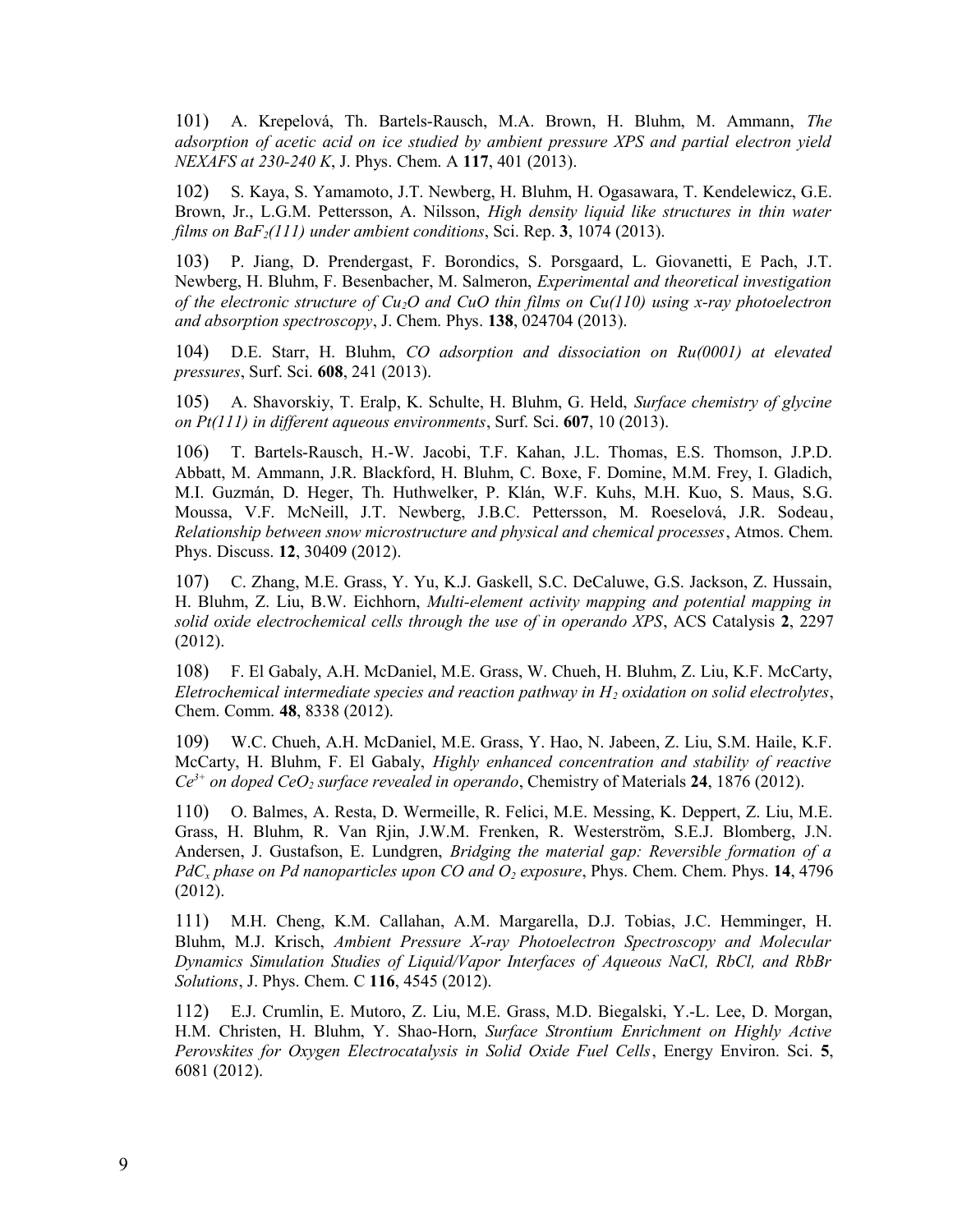101) A. Krepelová, Th. Bartels-Rausch, M.A. Brown, H. Bluhm, M. Ammann, *The adsorption of acetic acid on ice studied by ambient pressure XPS and partial electron yield NEXAFS at 230-240 K*, J. Phys. Chem. A **117**, 401 (2013).

102) S. Kaya, S. Yamamoto, J.T. Newberg, H. Bluhm, H. Ogasawara, T. Kendelewicz, G.E. Brown, Jr., L.G.M. Pettersson, A. Nilsson, *High density liquid like structures in thin water films on BaF2(111) under ambient conditions*, Sci. Rep. **3**, 1074 (2013).

103) P. Jiang, D. Prendergast, F. Borondics, S. Porsgaard, L. Giovanetti, E Pach, J.T. Newberg, H. Bluhm, F. Besenbacher, M. Salmeron, *Experimental and theoretical investigation of the electronic structure of Cu2O and CuO thin films on Cu(110) using x-ray photoelectron and absorption spectroscopy*, J. Chem. Phys. **138**, 024704 (2013).

104) D.E. Starr, H. Bluhm, *CO adsorption and dissociation on Ru(0001) at elevated pressures*, Surf. Sci. **608**, 241 (2013).

105) A. Shavorskiy, T. Eralp, K. Schulte, H. Bluhm, G. Held, *Surface chemistry of glycine on Pt(111) in different aqueous environments*, Surf. Sci. **607**, 10 (2013).

106) T. Bartels-Rausch, H.-W. Jacobi, T.F. Kahan, J.L. Thomas, E.S. Thomson, J.P.D. Abbatt, M. Ammann, J.R. Blackford, H. Bluhm, C. Boxe, F. Domine, M.M. Frey, I. Gladich, M.I. Guzmán, D. Heger, Th. Huthwelker, P. Klán, W.F. Kuhs, M.H. Kuo, S. Maus, S.G. Moussa, V.F. McNeill, J.T. Newberg, J.B.C. Pettersson, M. Roeselová, J.R. Sodeau, *Relationship between snow microstructure and physical and chemical processes*, Atmos. Chem. Phys. Discuss. **12**, 30409 (2012).

107) C. Zhang, M.E. Grass, Y. Yu, K.J. Gaskell, S.C. DeCaluwe, G.S. Jackson, Z. Hussain, H. Bluhm, Z. Liu, B.W. Eichhorn, *Multi-element activity mapping and potential mapping in solid oxide electrochemical cells through the use of in operando XPS*, ACS Catalysis **2**, 2297 (2012).

108) F. El Gabaly, A.H. McDaniel, M.E. Grass, W. Chueh, H. Bluhm, Z. Liu, K.F. McCarty, *Eletrochemical intermediate species and reaction pathway in H2 oxidation on solid electrolytes*, Chem. Comm. **48**, 8338 (2012).

109) W.C. Chueh, A.H. McDaniel, M.E. Grass, Y. Hao, N. Jabeen, Z. Liu, S.M. Haile, K.F. McCarty, H. Bluhm, F. El Gabaly, *Highly enhanced concentration and stability of reactive Ce3+ on doped CeO2 surface revealed in operando*, Chemistry of Materials **24**, 1876 (2012).

110) O. Balmes, A. Resta, D. Wermeille, R. Felici, M.E. Messing, K. Deppert, Z. Liu, M.E. Grass, H. Bluhm, R. Van Rjin, J.W.M. Frenken, R. Westerström, S.E.J. Blomberg, J.N. Andersen, J. Gustafson, E. Lundgren, *Bridging the material gap: Reversible formation of a PdCx phase on Pd nanoparticles upon CO and O2 exposure*, Phys. Chem. Chem. Phys. **14**, 4796 (2012).

111) M.H. Cheng, K.M. Callahan, A.M. Margarella, D.J. Tobias, J.C. Hemminger, H. Bluhm, M.J. Krisch, *Ambient Pressure X-ray Photoelectron Spectroscopy and Molecular Dynamics Simulation Studies of Liquid/Vapor Interfaces of Aqueous NaCl, RbCl, and RbBr Solutions*, J. Phys. Chem. C **116**, 4545 (2012).

112) E.J. Crumlin, E. Mutoro, Z. Liu, M.E. Grass, M.D. Biegalski, Y.-L. Lee, D. Morgan, H.M. Christen, H. Bluhm, Y. Shao-Horn, *Surface Strontium Enrichment on Highly Active Perovskites for Oxygen Electrocatalysis in Solid Oxide Fuel Cells*, [Energy Environ. Sci.](http://pubs.rsc.org/en/journals/journal/ee) **5**, 6081 (2012).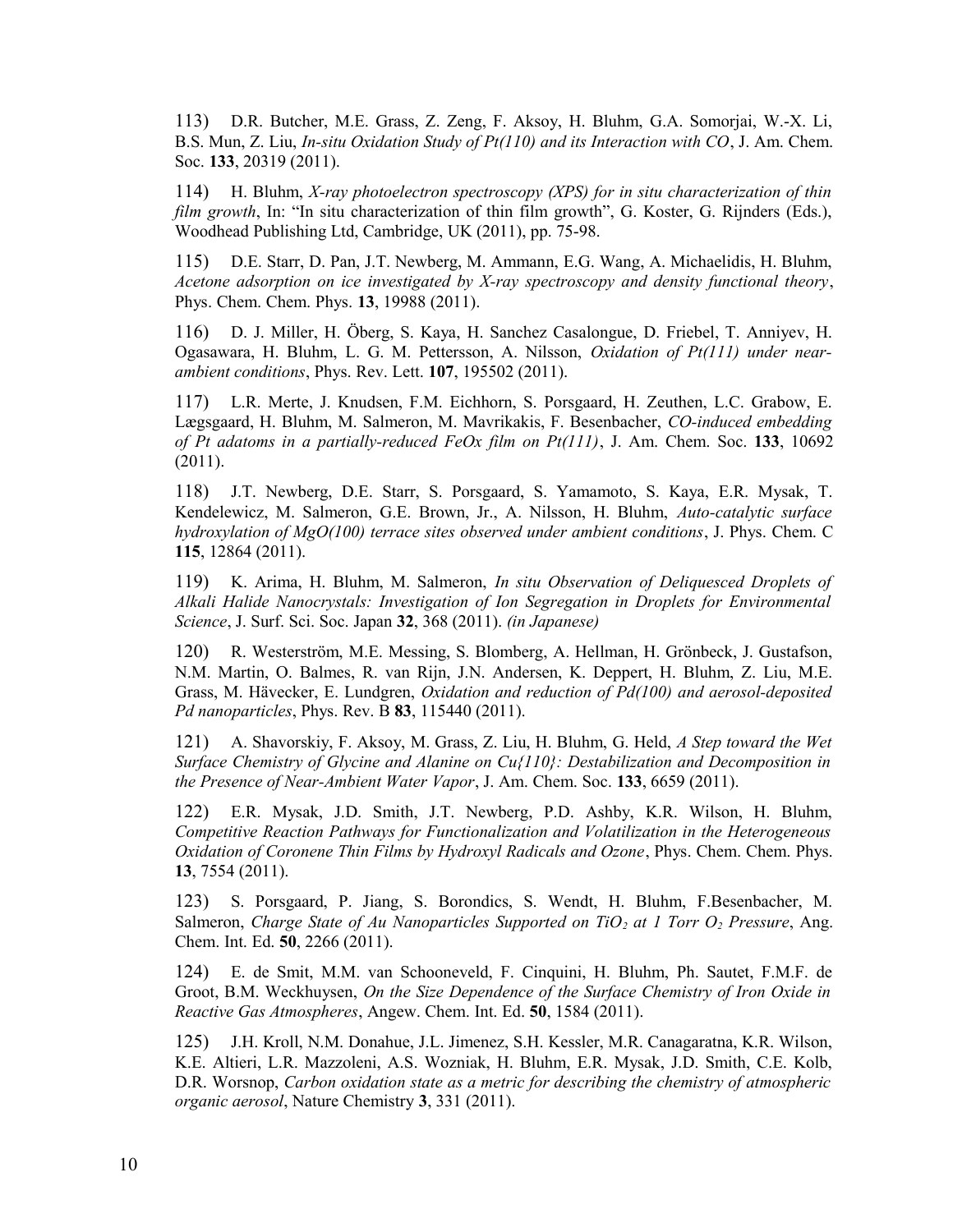113) D.R. Butcher, M.E. Grass, Z. Zeng, F. Aksoy, H. Bluhm, G.A. Somorjai, W.-X. Li, B.S. Mun, Z. Liu, *In-situ Oxidation Study of Pt(110) and its Interaction with CO*, J. Am. Chem. Soc. **133**, 20319 (2011).

114) H. Bluhm, *X-ray photoelectron spectroscopy (XPS) for in situ characterization of thin film growth*, In: "In situ characterization of thin film growth", G. Koster, G. Rijnders (Eds.), Woodhead Publishing Ltd, Cambridge, UK (2011), pp. 75-98.

115) D.E. Starr, D. Pan, J.T. Newberg, M. Ammann, E.G. Wang, A. Michaelidis, H. Bluhm, *Acetone adsorption on ice investigated by X-ray spectroscopy and density functional theory*, Phys. Chem. Chem. Phys. **13**, 19988 (2011).

116) D. J. Miller, H. Öberg, S. Kaya, H. Sanchez Casalongue, D. Friebel, T. Anniyev, H. Ogasawara, H. Bluhm, L. G. M. Pettersson, A. Nilsson, *Oxidation of Pt(111) under nearambient conditions*, Phys. Rev. Lett. **107**, 195502 (2011).

117) L.R. Merte, J. Knudsen, F.M. Eichhorn, S. Porsgaard, H. Zeuthen, L.C. Grabow, E. Lægsgaard, H. Bluhm, M. Salmeron, M. Mavrikakis, F. Besenbacher, *CO-induced embedding of Pt adatoms in a partially-reduced FeOx film on Pt(111)*, J. Am. Chem. Soc. **133**, 10692 (2011).

118) J.T. Newberg, D.E. Starr, S. Porsgaard, S. Yamamoto, S. Kaya, E.R. Mysak, T. Kendelewicz, M. Salmeron, G.E. Brown, Jr., A. Nilsson, H. Bluhm, *Auto-catalytic surface hydroxylation of MgO(100) terrace sites observed under ambient conditions*, J. Phys. Chem. C **115**, 12864 (2011).

119) K. Arima, H. Bluhm, M. Salmeron, *In situ Observation of Deliquesced Droplets of Alkali Halide Nanocrystals: Investigation of Ion Segregation in Droplets for Environmental Science*, J. Surf. Sci. Soc. Japan **32**, 368 (2011). *(in Japanese)*

120) R. Westerström, M.E. Messing, S. Blomberg, A. Hellman, H. Grönbeck, J. Gustafson, N.M. Martin, O. Balmes, R. van Rijn, J.N. Andersen, K. Deppert, H. Bluhm, Z. Liu, M.E. Grass, M. Hävecker, E. Lundgren, *Oxidation and reduction of Pd(100) and aerosol-deposited Pd nanoparticles*, Phys. Rev. B **83**, 115440 (2011).

121) A. Shavorskiy, F. Aksoy, M. Grass, Z. Liu, H. Bluhm, G. Held, *A Step toward the Wet Surface Chemistry of Glycine and Alanine on Cu{110}: Destabilization and Decomposition in the Presence of Near-Ambient Water Vapor*, J. Am. Chem. Soc. **133**, 6659 (2011).

122) E.R. Mysak, J.D. Smith, J.T. Newberg, P.D. Ashby, K.R. Wilson, H. Bluhm, *Competitive Reaction Pathways for Functionalization and Volatilization in the Heterogeneous Oxidation of Coronene Thin Films by Hydroxyl Radicals and Ozone*, Phys. Chem. Chem. Phys. **13**, 7554 (2011).

123) S. Porsgaard, P. Jiang, S. Borondics, S. Wendt, H. Bluhm, F.Besenbacher, M. Salmeron, *Charge State of Au Nanoparticles Supported on TiO2 at 1 Torr O2 Pressure*, Ang. Chem. Int. Ed. **50**, 2266 (2011).

124) E. de Smit, M.M. van Schooneveld, F. Cinquini, H. Bluhm, Ph. Sautet, F.M.F. de Groot, B.M. Weckhuysen, *On the Size Dependence of the Surface Chemistry of Iron Oxide in Reactive Gas Atmospheres*, Angew. Chem. Int. Ed. **50**, 1584 (2011).

125) J.H. Kroll, N.M. Donahue, J.L. Jimenez, S.H. Kessler, M.R. Canagaratna, K.R. Wilson, K.E. Altieri, L.R. Mazzoleni, A.S. Wozniak, H. Bluhm, E.R. Mysak, J.D. Smith, C.E. Kolb, D.R. Worsnop, *Carbon oxidation state as a metric for describing the chemistry of atmospheric organic aerosol*, Nature Chemistry **3**, 331 (2011).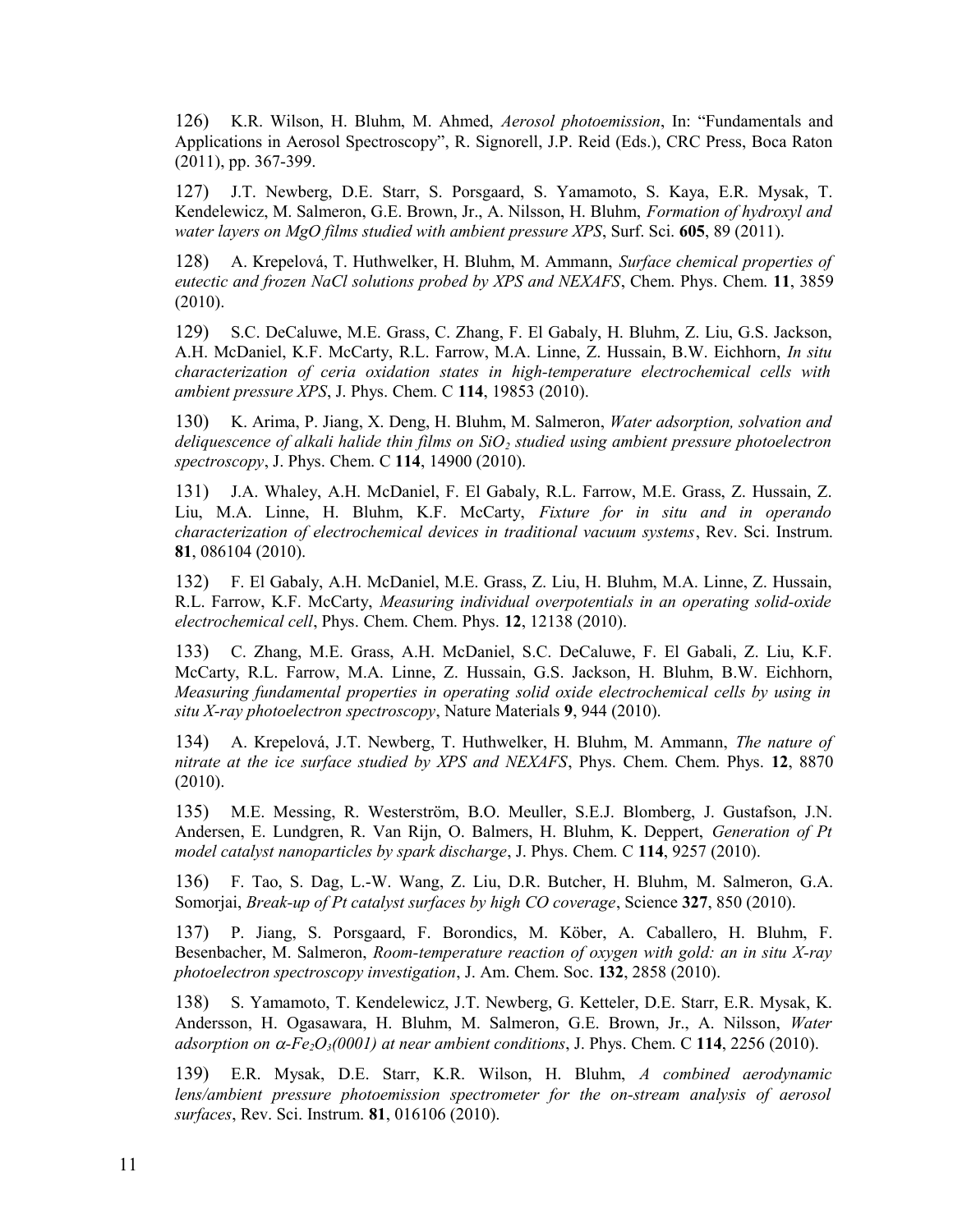126) K.R. Wilson, H. Bluhm, M. Ahmed, *Aerosol photoemission*, In: "Fundamentals and Applications in Aerosol Spectroscopy", R. Signorell, J.P. Reid (Eds.), CRC Press, Boca Raton (2011), pp. 367-399.

127) J.T. Newberg, D.E. Starr, S. Porsgaard, S. Yamamoto, S. Kaya, E.R. Mysak, T. Kendelewicz, M. Salmeron, G.E. Brown, Jr., A. Nilsson, H. Bluhm, *Formation of hydroxyl and water layers on MgO films studied with ambient pressure XPS*, Surf. Sci. **605**, 89 (2011).

128) A. Krepelová, T. Huthwelker, H. Bluhm, M. Ammann, *Surface chemical properties of eutectic and frozen NaCl solutions probed by XPS and NEXAFS*, Chem. Phys. Chem. **11**, 3859 (2010).

129) S.C. DeCaluwe, M.E. Grass, C. Zhang, F. El Gabaly, H. Bluhm, Z. Liu, G.S. Jackson, A.H. McDaniel, K.F. McCarty, R.L. Farrow, M.A. Linne, Z. Hussain, B.W. Eichhorn, *In situ characterization of ceria oxidation states in high-temperature electrochemical cells with ambient pressure XPS*, J. Phys. Chem. C **114**, 19853 (2010).

130) K. Arima, P. Jiang, X. Deng, H. Bluhm, M. Salmeron, *Water adsorption, solvation and deliquescence of alkali halide thin films on SiO2 studied using ambient pressure photoelectron spectroscopy*, J. Phys. Chem. C **114**, 14900 (2010).

131) J.A. Whaley, A.H. McDaniel, F. El Gabaly, R.L. Farrow, M.E. Grass, Z. Hussain, Z. Liu, M.A. Linne, H. Bluhm, K.F. McCarty, *Fixture for in situ and in operando characterization of electrochemical devices in traditional vacuum systems*, Rev. Sci. Instrum. **81**, 086104 (2010).

132) F. El Gabaly, A.H. McDaniel, M.E. Grass, Z. Liu, H. Bluhm, M.A. Linne, Z. Hussain, R.L. Farrow, K.F. McCarty, *Measuring individual overpotentials in an operating solid-oxide electrochemical cell*, Phys. Chem. Chem. Phys. **12**, 12138 (2010).

133) C. Zhang, M.E. Grass, A.H. McDaniel, S.C. DeCaluwe, F. El Gabali, Z. Liu, K.F. McCarty, R.L. Farrow, M.A. Linne, Z. Hussain, G.S. Jackson, H. Bluhm, B.W. Eichhorn, *Measuring fundamental properties in operating solid oxide electrochemical cells by using in situ X-ray photoelectron spectroscopy*, Nature Materials **9**, 944 (2010).

134) A. Krepelová, J.T. Newberg, T. Huthwelker, H. Bluhm, M. Ammann, *The nature of nitrate at the ice surface studied by XPS and NEXAFS*, Phys. Chem. Chem. Phys. **12**, 8870 (2010).

135) M.E. Messing, R. Westerström, B.O. Meuller, S.E.J. Blomberg, J. Gustafson, J.N. Andersen, E. Lundgren, R. Van Rijn, O. Balmers, H. Bluhm, K. Deppert, *Generation of Pt model catalyst nanoparticles by spark discharge*, J. Phys. Chem. C **114**, 9257 (2010).

136) F. Tao, S. Dag, L.-W. Wang, Z. Liu, D.R. Butcher, H. Bluhm, M. Salmeron, G.A. Somorjai, *Break-up of Pt catalyst surfaces by high CO coverage*, Science **327**, 850 (2010).

137) P. Jiang, S. Porsgaard, F. Borondics, M. Köber, A. Caballero, H. Bluhm, F. Besenbacher, M. Salmeron, *Room-temperature reaction of oxygen with gold: an in situ X-ray photoelectron spectroscopy investigation*, J. Am. Chem. Soc. **132**, 2858 (2010).

138) S. Yamamoto, T. Kendelewicz, J.T. Newberg, G. Ketteler, D.E. Starr, E.R. Mysak, K. Andersson, H. Ogasawara, H. Bluhm, M. Salmeron, G.E. Brown, Jr., A. Nilsson, *Water adsorption on*  $\alpha$ *-Fe* $\Omega$ <sub>3</sub> $(0001)$  *at near ambient conditions*, J. Phys. Chem. C 114, 2256 (2010).

139) E.R. Mysak, D.E. Starr, K.R. Wilson, H. Bluhm, *A combined aerodynamic lens/ambient pressure photoemission spectrometer for the on-stream analysis of aerosol surfaces*, Rev. Sci. Instrum. **81**, 016106 (2010).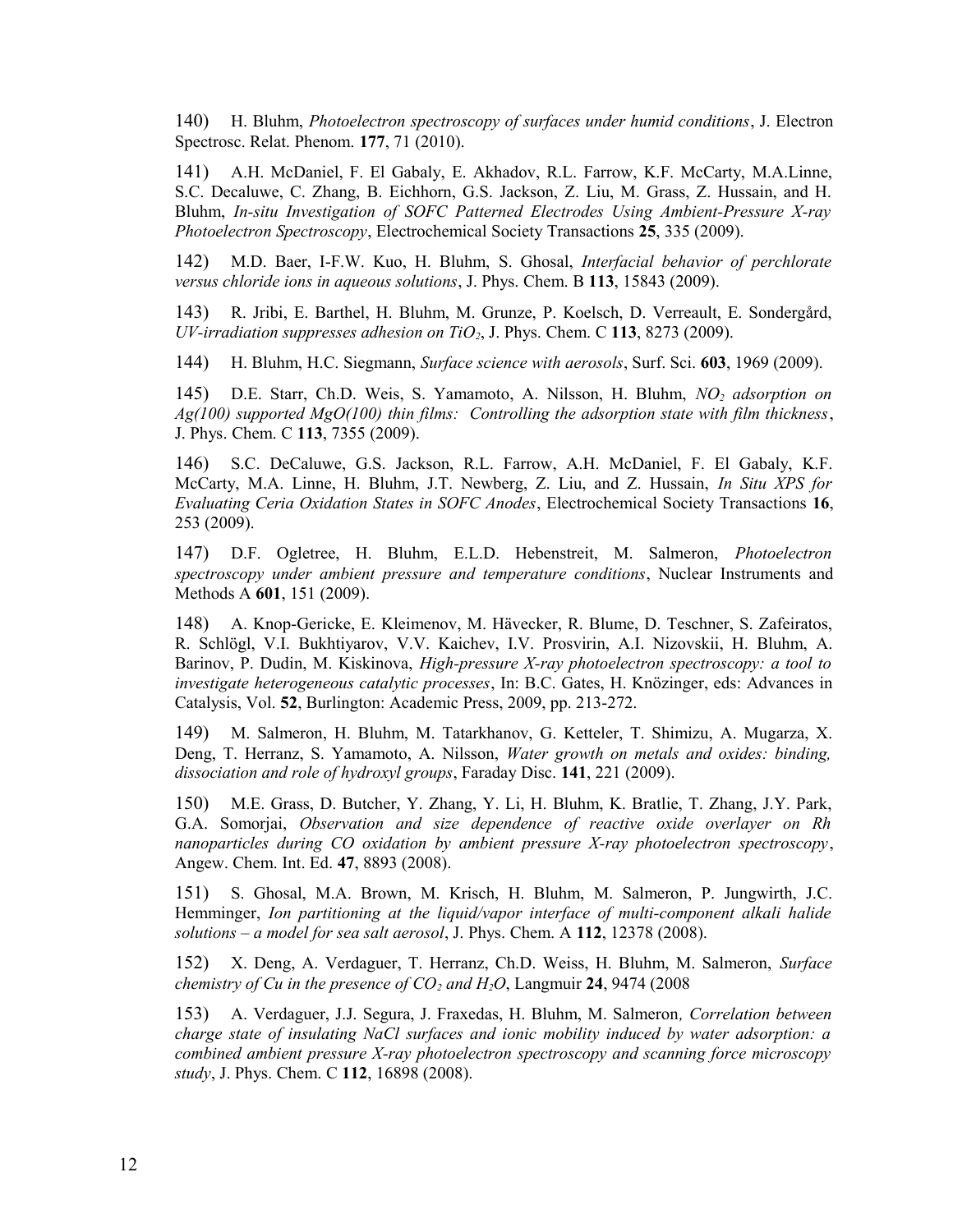140) H. Bluhm, *Photoelectron spectroscopy of surfaces under humid conditions*, J. Electron Spectrosc. Relat. Phenom. **177**, 71 (2010).

141) A.H. McDaniel, F. El Gabaly, E. Akhadov, R.L. Farrow, K.F. McCarty, M.A.Linne, S.C. Decaluwe, C. Zhang, B. Eichhorn, G.S. Jackson, Z. Liu, M. Grass, Z. Hussain, and H. Bluhm, *In-situ Investigation of SOFC Patterned Electrodes Using Ambient-Pressure X-ray Photoelectron Spectroscopy*, Electrochemical Society Transactions **25**, 335 (2009).

142) M.D. Baer, I-F.W. Kuo, H. Bluhm, S. Ghosal, *Interfacial behavior of perchlorate versus chloride ions in aqueous solutions*, J. Phys. Chem. B **113**, 15843 (2009).

143) R. Jribi, E. Barthel, H. Bluhm, M. Grunze, P. Koelsch, D. Verreault, E. Sondergård, *UV-irradiation suppresses adhesion on TiO2*, J. Phys. Chem. C **113**, 8273 (2009).

144) H. Bluhm, H.C. Siegmann, *Surface science with aerosols*, Surf. Sci. **603**, 1969 (2009).

145) D.E. Starr, Ch.D. Weis, S. Yamamoto, A. Nilsson, H. Bluhm, *NO2 adsorption on Ag(100) supported MgO(100) thin films: Controlling the adsorption state with film thickness*, J. Phys. Chem. C **113**, 7355 (2009).

146) S.C. DeCaluwe, G.S. Jackson, R.L. Farrow, A.H. McDaniel, F. El Gabaly, K.F. McCarty, M.A. Linne, H. Bluhm, J.T. Newberg, Z. Liu, and Z. Hussain, *In Situ XPS for Evaluating Ceria Oxidation States in SOFC Anodes*, Electrochemical Society Transactions **16**, 253 (2009).

147) D.F. Ogletree, H. Bluhm, E.L.D. Hebenstreit, M. Salmeron, *Photoelectron spectroscopy under ambient pressure and temperature conditions*, Nuclear Instruments and Methods A **601**, 151 (2009).

148) A. Knop-Gericke, E. Kleimenov, M. Hävecker, R. Blume, D. Teschner, S. Zafeiratos, R. Schlögl, V.I. Bukhtiyarov, V.V. Kaichev, I.V. Prosvirin, A.I. Nizovskii, H. Bluhm, A. Barinov, P. Dudin, M. Kiskinova, *High-pressure X-ray photoelectron spectroscopy: a tool to investigate heterogeneous catalytic processes*, In: B.C. Gates, H. Knözinger, eds: Advances in Catalysis, Vol. **52**, Burlington: Academic Press, 2009, pp. 213-272.

149) M. Salmeron, H. Bluhm, M. Tatarkhanov, G. Ketteler, T. Shimizu, A. Mugarza, X. Deng, T. Herranz, S. Yamamoto, A. Nilsson, *Water growth on metals and oxides: binding, dissociation and role of hydroxyl groups*, Faraday Disc. **141**, 221 (2009).

150) M.E. Grass, D. Butcher, Y. Zhang, Y. Li, H. Bluhm, K. Bratlie, T. Zhang, J.Y. Park, G.A. Somorjai, *Observation and size dependence of reactive oxide overlayer on Rh nanoparticles during CO oxidation by ambient pressure X-ray photoelectron spectroscopy*, Angew. Chem. Int. Ed. **47**, 8893 (2008).

151) S. Ghosal, M.A. Brown, M. Krisch, H. Bluhm, M. Salmeron, P. Jungwirth, J.C. Hemminger, *Ion partitioning at the liquid/vapor interface of multi-component alkali halide solutions – a model for sea salt aerosol*, J. Phys. Chem. A **112**, 12378 (2008).

152) X. Deng, A. Verdaguer, T. Herranz, Ch.D. Weiss, H. Bluhm, M. Salmeron, *Surface chemistry of Cu in the presence of CO2 and H2O*, Langmuir **24**, 9474 (2008

153) A. Verdaguer, J.J. Segura, J. Fraxedas, H. Bluhm, M. Salmeron*, Correlation between charge state of insulating NaCl surfaces and ionic mobility induced by water adsorption: a combined ambient pressure X-ray photoelectron spectroscopy and scanning force microscopy study*, J. Phys. Chem. C **112**, 16898 (2008).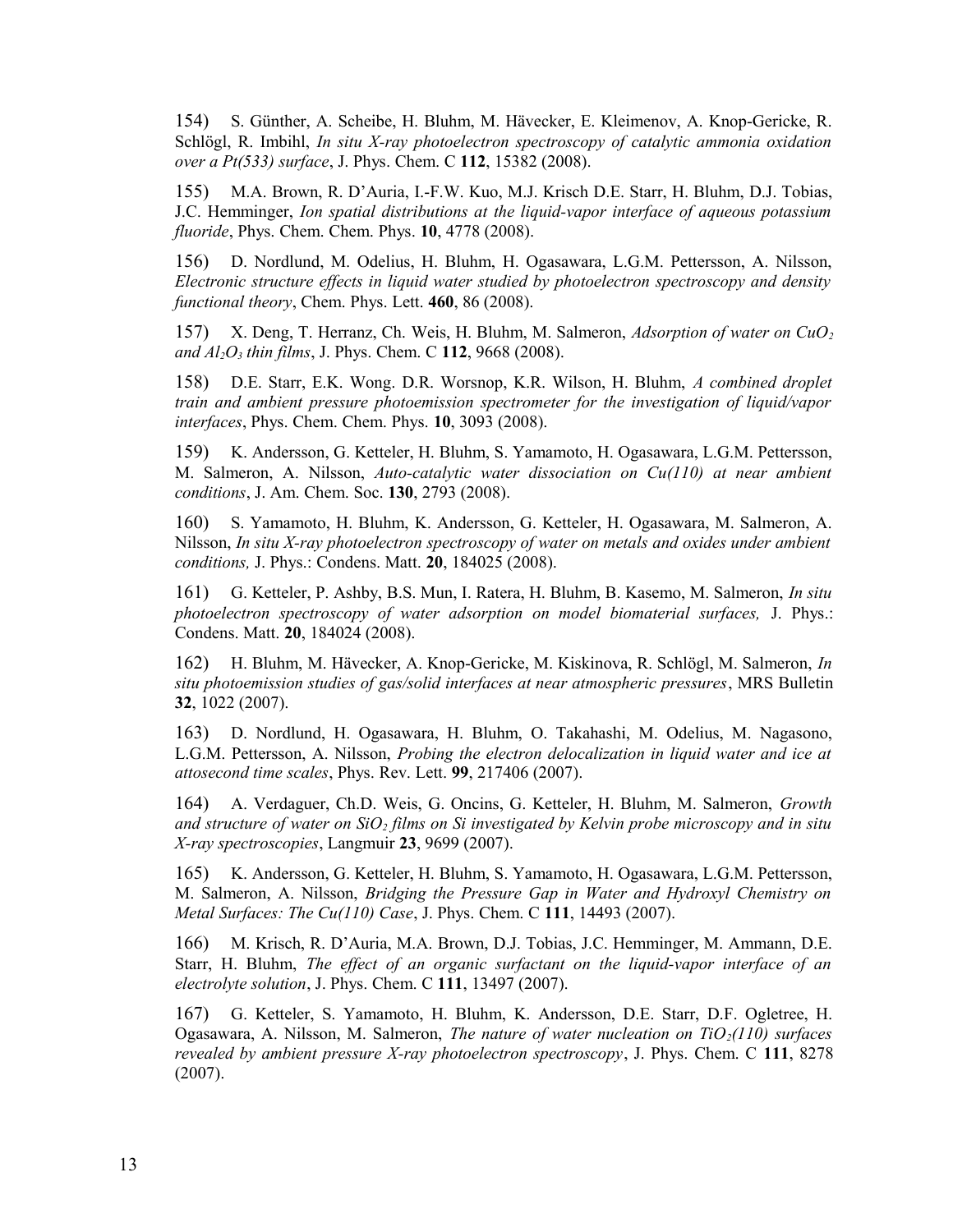154) S. Günther, A. Scheibe, H. Bluhm, M. Hävecker, E. Kleimenov, A. Knop-Gericke, R. Schlögl, R. Imbihl, *In situ X-ray photoelectron spectroscopy of catalytic ammonia oxidation over a Pt(533) surface*, J. Phys. Chem. C **112**, 15382 (2008).

155) M.A. Brown, R. D'Auria, I.-F.W. Kuo, M.J. Krisch D.E. Starr, H. Bluhm, D.J. Tobias, J.C. Hemminger, *Ion spatial distributions at the liquid-vapor interface of aqueous potassium fluoride*, Phys. Chem. Chem. Phys. **10**, 4778 (2008).

156) D. Nordlund, M. Odelius, H. Bluhm, H. Ogasawara, L.G.M. Pettersson, A. Nilsson, *Electronic structure effects in liquid water studied by photoelectron spectroscopy and density functional theory*, Chem. Phys. Lett. **460**, 86 (2008).

157) X. Deng, T. Herranz, Ch. Weis, H. Bluhm, M. Salmeron, *Adsorption of water on CuO<sup>2</sup> and Al2O3 thin films*, J. Phys. Chem. C **112**, 9668 (2008).

158) D.E. Starr, E.K. Wong. D.R. Worsnop, K.R. Wilson, H. Bluhm, *A combined droplet train and ambient pressure photoemission spectrometer for the investigation of liquid/vapor interfaces*, Phys. Chem. Chem. Phys. **10**, 3093 (2008).

159) K. Andersson, G. Ketteler, H. Bluhm, S. Yamamoto, H. Ogasawara, L.G.M. Pettersson, M. Salmeron, A. Nilsson, *Auto-catalytic water dissociation on Cu(110) at near ambient conditions*, J. Am. Chem. Soc. **130**, 2793 (2008).

160) S. Yamamoto, H. Bluhm, K. Andersson, G. Ketteler, H. Ogasawara, M. Salmeron, A. Nilsson, *In situ X-ray photoelectron spectroscopy of water on metals and oxides under ambient conditions,* J. Phys.: Condens. Matt. **20**, 184025 (2008).

161) G. Ketteler, P. Ashby, B.S. Mun, I. Ratera, H. Bluhm, B. Kasemo, M. Salmeron, *In situ photoelectron spectroscopy of water adsorption on model biomaterial surfaces,* J. Phys.: Condens. Matt. **20**, 184024 (2008).

162) H. Bluhm, M. Hävecker, A. Knop-Gericke, M. Kiskinova, R. Schlögl, M. Salmeron, *In situ photoemission studies of gas/solid interfaces at near atmospheric pressures*, MRS Bulletin **32**, 1022 (2007).

163) D. Nordlund, H. Ogasawara, H. Bluhm, O. Takahashi, M. Odelius, M. Nagasono, L.G.M. Pettersson, A. Nilsson, *Probing the electron delocalization in liquid water and ice at attosecond time scales*, Phys. Rev. Lett. **99**, 217406 (2007).

164) A. Verdaguer, Ch.D. Weis, G. Oncins, G. Ketteler, H. Bluhm, M. Salmeron, *Growth and structure of water on SiO2 films on Si investigated by Kelvin probe microscopy and in situ X-ray spectroscopies*, Langmuir **23**, 9699 (2007).

165) K. Andersson, G. Ketteler, H. Bluhm, S. Yamamoto, H. Ogasawara, L.G.M. Pettersson, M. Salmeron, A. Nilsson, *Bridging the Pressure Gap in Water and Hydroxyl Chemistry on Metal Surfaces: The Cu(110) Case*, J. Phys. Chem. C **111**, 14493 (2007).

166) M. Krisch, R. D'Auria, M.A. Brown, D.J. Tobias, J.C. Hemminger, M. Ammann, D.E. Starr, H. Bluhm, *The effect of an organic surfactant on the liquid-vapor interface of an electrolyte solution*, J. Phys. Chem. C **111**, 13497 (2007).

167) G. Ketteler, S. Yamamoto, H. Bluhm, K. Andersson, D.E. Starr, D.F. Ogletree, H. Ogasawara, A. Nilsson, M. Salmeron, *The nature of water nucleation on TiO2(110) surfaces revealed by ambient pressure X-ray photoelectron spectroscopy*, J. Phys. Chem. C **111**, 8278 (2007).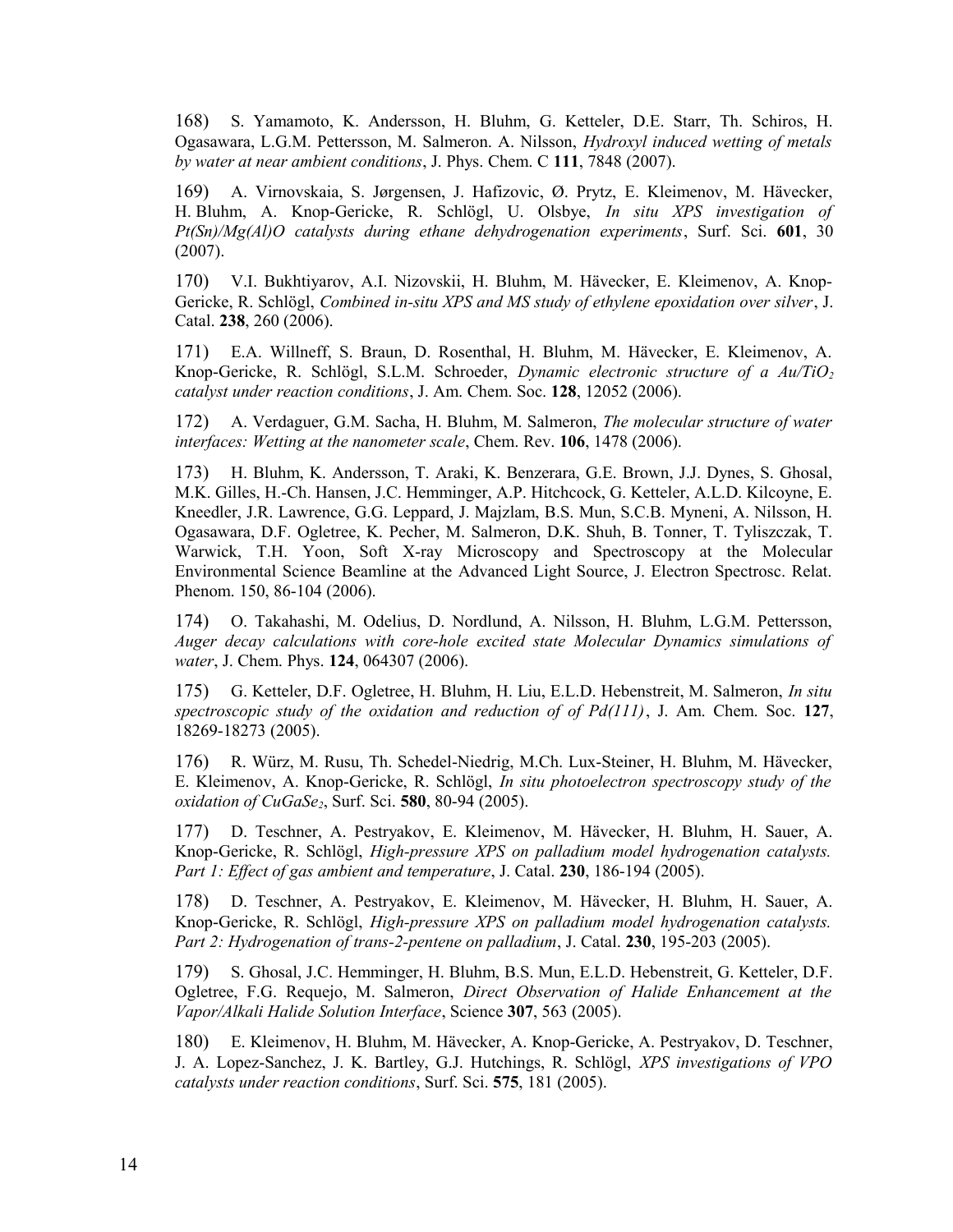168) S. Yamamoto, K. Andersson, H. Bluhm, G. Ketteler, D.E. Starr, Th. Schiros, H. Ogasawara, L.G.M. Pettersson, M. Salmeron. A. Nilsson, *Hydroxyl induced wetting of metals by water at near ambient conditions*, J. Phys. Chem. C **111**, 7848 (2007).

169) A. Virnovskaia, S. Jørgensen, J. Hafizovic, Ø. Prytz, E. Kleimenov, M. Hävecker, H. Bluhm, A. Knop-Gericke, R. Schlögl, U. Olsbye, *In situ XPS investigation of Pt(Sn)/Mg(Al)O catalysts during ethane dehydrogenation experiments*, Surf. Sci. **601**, 30 (2007).

170) V.I. Bukhtiyarov, A.I. Nizovskii, H. Bluhm, M. Hävecker, E. Kleimenov, A. Knop-Gericke, R. Schlögl, *Combined in-situ XPS and MS study of ethylene epoxidation over silver*, J. Catal. **238**, 260 (2006).

171) E.A. Willneff, S. Braun, D. Rosenthal, H. Bluhm, M. Hävecker, E. Kleimenov, A. Knop-Gericke, R. Schlögl, S.L.M. Schroeder, *Dynamic electronic structure of a Au/TiO<sup>2</sup> catalyst under reaction conditions*, J. Am. Chem. Soc. **128**, 12052 (2006).

172) A. Verdaguer, G.M. Sacha, H. Bluhm, M. Salmeron, *The molecular structure of water interfaces: Wetting at the nanometer scale*, Chem. Rev. **106**, 1478 (2006).

173) H. Bluhm, K. Andersson, T. Araki, K. Benzerara, G.E. Brown, J.J. Dynes, S. Ghosal, M.K. Gilles, H.-Ch. Hansen, J.C. Hemminger, A.P. Hitchcock, G. Ketteler, A.L.D. Kilcoyne, E. Kneedler, J.R. Lawrence, G.G. Leppard, J. Majzlam, B.S. Mun, S.C.B. Myneni, A. Nilsson, H. Ogasawara, D.F. Ogletree, K. Pecher, M. Salmeron, D.K. Shuh, B. Tonner, T. Tyliszczak, T. Warwick, T.H. Yoon, Soft X-ray Microscopy and Spectroscopy at the Molecular Environmental Science Beamline at the Advanced Light Source, J. Electron Spectrosc. Relat. Phenom. 150, 86-104 (2006).

174) O. Takahashi, M. Odelius, D. Nordlund, A. Nilsson, H. Bluhm, L.G.M. Pettersson, *Auger decay calculations with core-hole excited state Molecular Dynamics simulations of water*, J. Chem. Phys. **124**, 064307 (2006).

175) G. Ketteler, D.F. Ogletree, H. Bluhm, H. Liu, E.L.D. Hebenstreit, M. Salmeron, *In situ spectroscopic study of the oxidation and reduction of of Pd(111)*, J. Am. Chem. Soc. **127**, 18269-18273 (2005).

176) R. Würz, M. Rusu, Th. Schedel-Niedrig, M.Ch. Lux-Steiner, H. Bluhm, M. Hävecker, E. Kleimenov, A. Knop-Gericke, R. Schlögl, *In situ photoelectron spectroscopy study of the oxidation of CuGaSe2*, Surf. Sci. **580**, 80-94 (2005).

177) D. Teschner, A. Pestryakov, E. Kleimenov, M. Hävecker, H. Bluhm, H. Sauer, A. Knop-Gericke, R. Schlögl, *High-pressure XPS on palladium model hydrogenation catalysts. Part 1: Effect of gas ambient and temperature*, J. Catal. **230**, 186-194 (2005).

178) D. Teschner, A. Pestryakov, E. Kleimenov, M. Hävecker, H. Bluhm, H. Sauer, A. Knop-Gericke, R. Schlögl, *High-pressure XPS on palladium model hydrogenation catalysts. Part 2: Hydrogenation of trans-2-pentene on palladium*, J. Catal. **230**, 195-203 (2005).

179) S. Ghosal, J.C. Hemminger, H. Bluhm, B.S. Mun, E.L.D. Hebenstreit, G. Ketteler, D.F. Ogletree, F.G. Requejo, M. Salmeron, *Direct Observation of Halide Enhancement at the Vapor/Alkali Halide Solution Interface*, Science **307**, 563 (2005).

180) E. Kleimenov, H. Bluhm, M. Hävecker, A. Knop-Gericke, A. Pestryakov, D. Teschner, J. A. Lopez-Sanchez, J. K. Bartley, G.J. Hutchings, R. Schlögl, *XPS investigations of VPO catalysts under reaction conditions*, Surf. Sci. **575**, 181 (2005).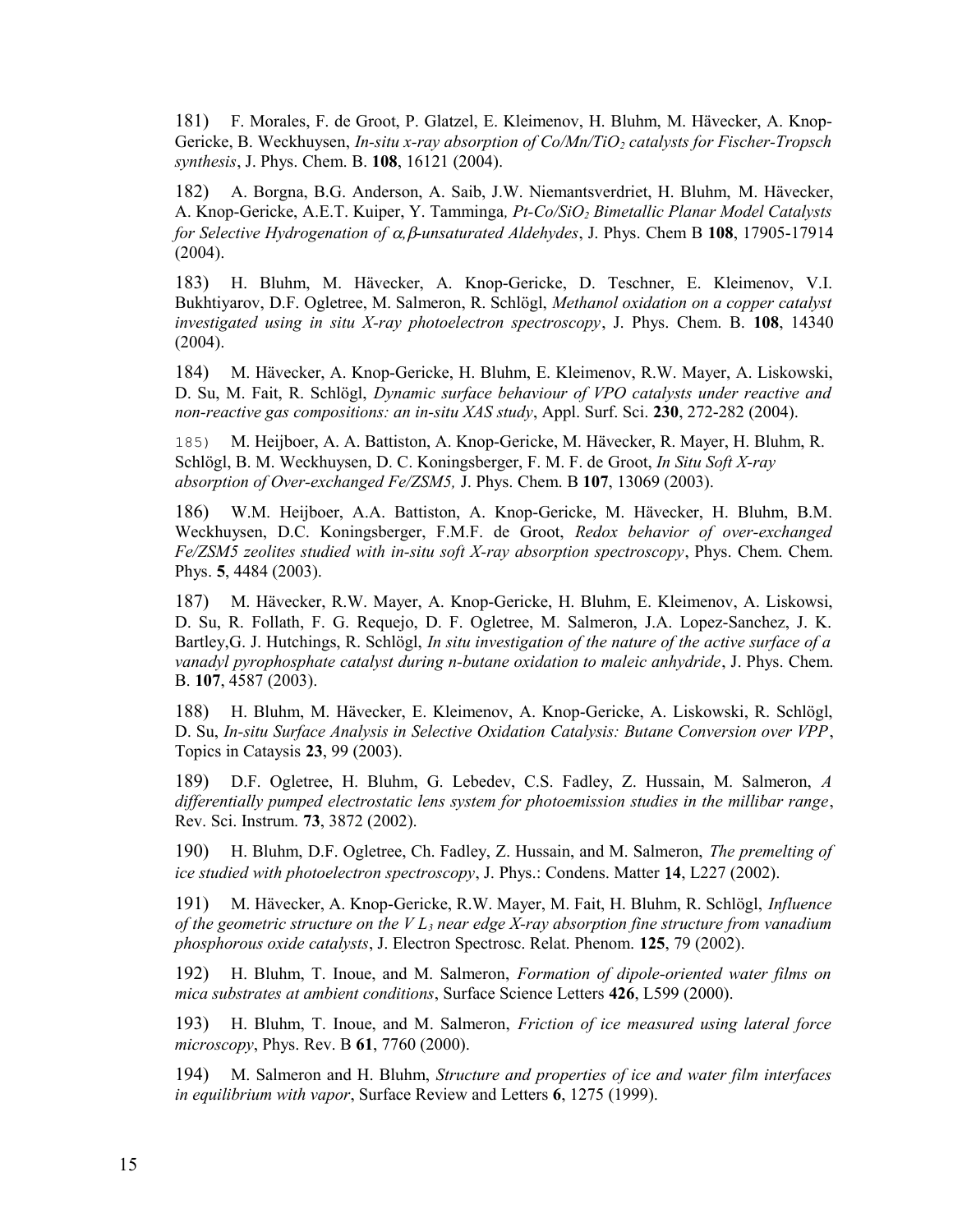181) F. Morales, F. de Groot, P. Glatzel, E. Kleimenov, H. Bluhm, M. Hävecker, A. Knop-Gericke, B. Weckhuysen, *In-situ x-ray absorption of Co/Mn/TiO2 catalysts for Fischer-Tropsch synthesis*, J. Phys. Chem. B. **108**, 16121 (2004).

182) A. Borgna, B.G. Anderson, A. Saib, J.W. Niemantsverdriet, H. Bluhm, M. Hävecker, A. Knop-Gericke, A.E.T. Kuiper, Y. Tamminga*, Pt-Co/SiO2 Bimetallic Planar Model Catalysts for Selective Hydrogenation of ,-unsaturated Aldehydes*, J. Phys. Chem B **108**, 17905-17914 (2004).

183) H. Bluhm, M. Hävecker, A. Knop-Gericke, D. Teschner, E. Kleimenov, V.I. Bukhtiyarov, D.F. Ogletree, M. Salmeron, R. Schlögl, *Methanol oxidation on a copper catalyst investigated using in situ X-ray photoelectron spectroscopy*, J. Phys. Chem. B. **108**, 14340 (2004).

184) M. Hävecker, A. Knop-Gericke, H. Bluhm, E. Kleimenov, R.W. Mayer, A. Liskowski, D. Su, M. Fait, R. Schlögl, *Dynamic surface behaviour of VPO catalysts under reactive and non-reactive gas compositions: an in-situ XAS study*, Appl. Surf. Sci. **230**, 272-282 (2004).

185) M. Heijboer, A. A. Battiston, A. Knop-Gericke, M. Hävecker, R. Mayer, H. Bluhm, R. Schlögl, B. M. Weckhuysen, D. C. Koningsberger, F. M. F. de Groot, *In Situ Soft X-ray absorption of Over-exchanged Fe/ZSM5,* J. Phys. Chem. B **107**, 13069 (2003).

186) W.M. Heijboer, A.A. Battiston, A. Knop-Gericke, M. Hävecker, H. Bluhm, B.M. Weckhuysen, D.C. Koningsberger, F.M.F. de Groot, *Redox behavior of over-exchanged Fe/ZSM5 zeolites studied with in-situ soft X-ray absorption spectroscopy*, Phys. Chem. Chem. Phys. **5**, 4484 (2003).

187) M. Hävecker, R.W. Mayer, A. Knop-Gericke, H. Bluhm, E. Kleimenov, A. Liskowsi, D. Su, R. Follath, F. G. Requejo, D. F. Ogletree, M. Salmeron, J.A. Lopez-Sanchez, J. K. Bartley,G. J. Hutchings, R. Schlögl, *In situ investigation of the nature of the active surface of a vanadyl pyrophosphate catalyst during n-butane oxidation to maleic anhydride*, J. Phys. Chem. B. **107**, 4587 (2003).

188) H. Bluhm, M. Hävecker, E. Kleimenov, A. Knop-Gericke, A. Liskowski, R. Schlögl, D. Su, *In-situ Surface Analysis in Selective Oxidation Catalysis: Butane Conversion over VPP*, Topics in Cataysis **23**, 99 (2003).

189) D.F. Ogletree, H. Bluhm, G. Lebedev, C.S. Fadley, Z. Hussain, M. Salmeron, *A differentially pumped electrostatic lens system for photoemission studies in the millibar range*, Rev. Sci. Instrum. **73**, 3872 (2002).

190) H. Bluhm, D.F. Ogletree, Ch. Fadley, Z. Hussain, and M. Salmeron, *The premelting of ice studied with photoelectron spectroscopy*, J. Phys.: Condens. Matter **4**, L227 (2002).

191) M. Hävecker, A. Knop-Gericke, R.W. Mayer, M. Fait, H. Bluhm, R. Schlögl, *Influence of the geometric structure on the V L3 near edge X-ray absorption fine structure from vanadium phosphorous oxide catalysts*, J. Electron Spectrosc. Relat. Phenom. **125**, 79 (2002).

192) H. Bluhm, T. Inoue, and M. Salmeron, *Formation of dipole-oriented water films on mica substrates at ambient conditions*, Surface Science Letters **426**, L599 (2000).

193) H. Bluhm, T. Inoue, and M. Salmeron, *Friction of ice measured using lateral force microscopy*, Phys. Rev. B **61**, 7760 (2000).

194) M. Salmeron and H. Bluhm, *Structure and properties of ice and water film interfaces in equilibrium with vapor*, Surface Review and Letters **6**, 1275 (1999).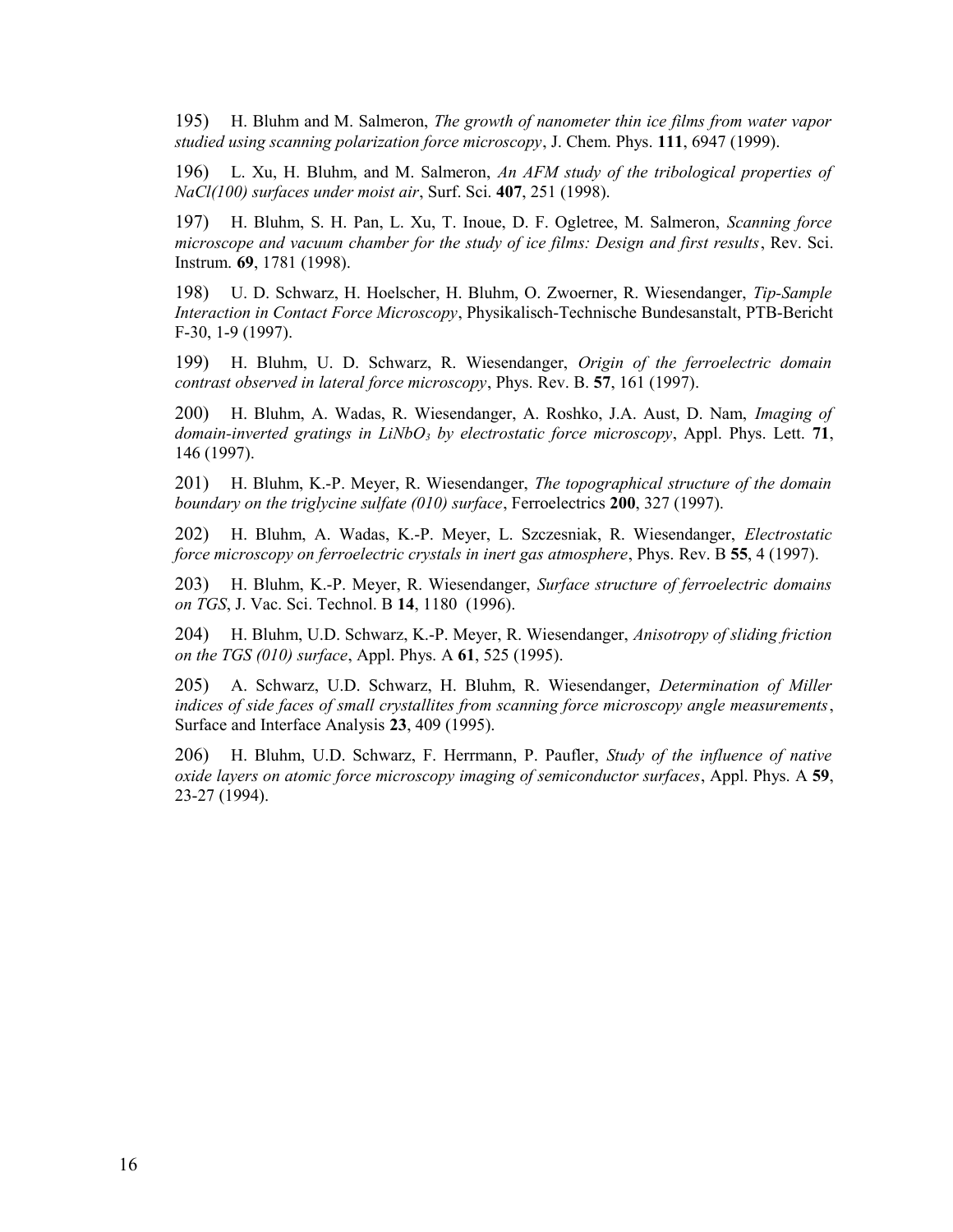195) H. Bluhm and M. Salmeron, *The growth of nanometer thin ice films from water vapor studied using scanning polarization force microscopy*, J. Chem. Phys. **111**, 6947 (1999).

196) L. Xu, H. Bluhm, and M. Salmeron, *An AFM study of the tribological properties of NaCl(100) surfaces under moist air*, Surf. Sci. **407**, 251 (1998).

197) H. Bluhm, S. H. Pan, L. Xu, T. Inoue, D. F. Ogletree, M. Salmeron, *Scanning force microscope and vacuum chamber for the study of ice films: Design and first results*, Rev. Sci. Instrum. **69**, 1781 (1998).

198) U. D. Schwarz, H. Hoelscher, H. Bluhm, O. Zwoerner, R. Wiesendanger, *Tip-Sample Interaction in Contact Force Microscopy*, Physikalisch-Technische Bundesanstalt, PTB-Bericht F-30, 1-9 (1997).

199) H. Bluhm, U. D. Schwarz, R. Wiesendanger, *Origin of the ferroelectric domain contrast observed in lateral force microscopy*, Phys. Rev. B. **57**, 161 (1997).

200) H. Bluhm, A. Wadas, R. Wiesendanger, A. Roshko, J.A. Aust, D. Nam, *Imaging of domain-inverted gratings in LiNbO3 by electrostatic force microscopy*, Appl. Phys. Lett. **71**, 146 (1997).

201) H. Bluhm, K.-P. Meyer, R. Wiesendanger, *The topographical structure of the domain boundary on the triglycine sulfate (010) surface*, Ferroelectrics **200**, 327 (1997).

202) H. Bluhm, A. Wadas, K.-P. Meyer, L. Szczesniak, R. Wiesendanger, *Electrostatic force microscopy on ferroelectric crystals in inert gas atmosphere*, Phys. Rev. B **55**, 4 (1997).

203) H. Bluhm, K.-P. Meyer, R. Wiesendanger, *Surface structure of ferroelectric domains on TGS*, J. Vac. Sci. Technol. B **14**, 1180 (1996).

204) H. Bluhm, U.D. Schwarz, K.-P. Meyer, R. Wiesendanger, *Anisotropy of sliding friction on the TGS (010) surface*, Appl. Phys. A **61**, 525 (1995).

205) A. Schwarz, U.D. Schwarz, H. Bluhm, R. Wiesendanger, *Determination of Miller indices of side faces of small crystallites from scanning force microscopy angle measurements*, Surface and Interface Analysis **23**, 409 (1995).

206) H. Bluhm, U.D. Schwarz, F. Herrmann, P. Paufler, *Study of the influence of native oxide layers on atomic force microscopy imaging of semiconductor surfaces*, Appl. Phys. A **59**, 23-27 (1994).